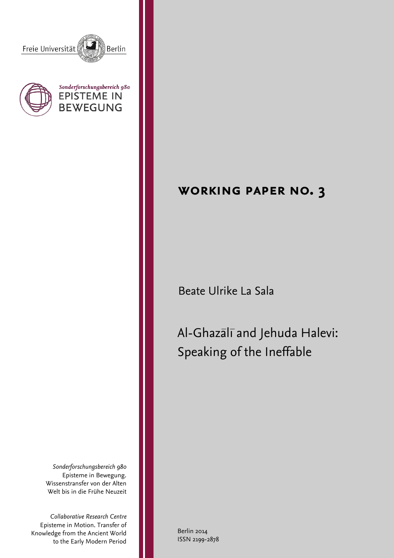





# **working paper no. 3**

Beate Ulrike La Sala

Al-Ghazali and Jehuda Halevi: Speaking of the Ineffable

*Sonderforschungsbereich 980* Episteme in Bewegung. Wissenstransfer von der Alten Welt bis in die Frühe Neuzeit

*Collaborative Research Centre* Episteme in Motion. Transfer of Knowledge from the Ancient World to the Early Modern Period

Berlin 2014 ISSN 2199-2878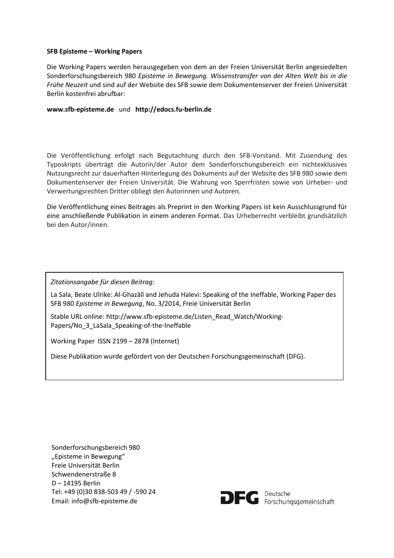#### **SFB Episteme – Working Papers**

Die Working Papers werden herausgegeben von dem an der Freien Universität Berlin angesiedelten Sonderforschungsbereich 980 *Episteme in Bewegung. Wissenstransfer von der Alten Welt bis in die Frühe Neuzeit* und sind auf der Website des SFB sowie dem Dokumentenserver der Freien Universität Berlin kostenfrei abrufbar:

#### **www.sfb-episteme.de** und **http://edocs.fu-berlin.de**

Die Veröffentlichung erfolgt nach Begutachtung durch den SFB-Vorstand. Mit Zusendung des Typoskripts überträgt die Autorin/der Autor dem Sonderforschungsbereich ein nichtexklusives Nutzungsrecht zur dauerhaften Hinterlegung des Dokuments auf der Website des SFB 980 sowie dem Dokumentenserver der Freien Universität. Die Wahrung von Sperrfristen sowie von Urheber- und Verwertungsrechten Dritter obliegt den Autorinnen und Autoren.

Die Veröffentlichung eines Beitrages als Preprint in den Working Papers ist kein Ausschlussgrund für eine anschließende Publikation in einem anderen Format. Das Urheberrecht verbleibt grundsätzlich bei den Autor/innen.

*Zitationsangabe für diesen Beitrag:*

La Sala, Beate Ulrike: Al-Ghazālī and Jehuda Halevi: Speaking of the Ineffable, Working Paper des SFB 980 *Episteme in Bewegung*, No. 3/2014, Freie Universität Berlin

Stable URL online: http://www.sfb-episteme.de/Listen\_Read\_Watch/Working-Papers/No\_3\_LaSala\_Speaking-of-the-Ineffable

Working Paper ISSN 2199 – 2878 (Internet)

Diese Publikation wurde gefördert von der Deutschen Forschungsgemeinschaft (DFG).

Sonderforschungsbereich 980 "Episteme in Bewegung" Freie Universität Berlin Schwendenerstraße 8 D – 14195 Berlin Tel: +49 (0)30 838-503 49 / -590 24 Email: info@sfb-episteme.de

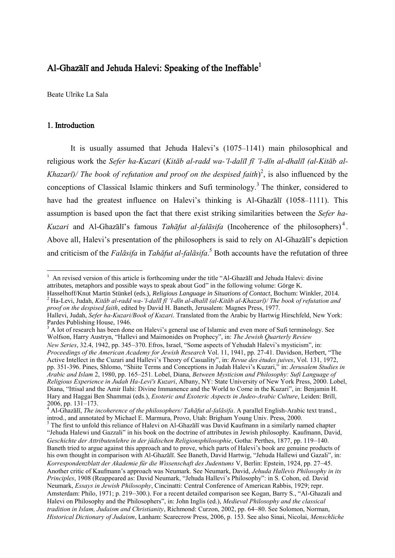# Al-Ghazālī and Jehuda Halevi: Speaking of the Ineffable $^1$

Beate Ulrike La Sala

# 1. Introduction

 $\overline{a}$ 

It is usually assumed that Jehuda Halevi's (1075–1141) main philosophical and religious work the *Sefer ha-Kuzari* (*Kitāb al-radd wa-'l-dalīl fī 'l-dīn al-dhalīl (al-Kitāb al-Khazarī*)/ *The book of refutation and proof on the despised faith* $)^2$ , is also influenced by the conceptions of Classical Islamic thinkers and Sufi terminology.<sup>3</sup> The thinker, considered to have had the greatest influence on Halevi's thinking is Al-Ghazālī (1058–1111). This assumption is based upon the fact that there exist striking similarities between the *Sefer ha-Kuzari* and Al-Ghazālī's famous *Tahāfut al-falāsifa* (Incoherence of the philosophers) <sup>4</sup> . Above all, Halevi's presentation of the philosophers is said to rely on Al-Ghazālī's depiction and criticism of the *Falāsifa* in *Tahāfut al-falāsifa*. <sup>5</sup> Both accounts have the refutation of three

 $1$  An revised version of this article is forthcoming under the title "Al-Ghazālī and Jehuda Halevi: divine attributes, metaphors and possible ways to speak about God" in the following volume: Görge K.

Hasselhoff/Knut Martin Stünkel (eds.), *Religious Language in Situations of Contact*, Bochum: Winkler, 2014. <sup>2</sup> Ha-Levi, Judah, *Kitāb al-radd wa-'l-dalīl fī 'l-dīn al-dhalīl (al-Kitāb al-Khazarī)/ The book of refutation and proof on the despised faith*, edited by David H. Baneth, Jerusalem: Magnes Press, 1977.

Hallevi, Judah, *Sefer ha-Kuzari/Book of Kuzari*. Translated from the Arabic by Hartwig Hirschfeld, New York: Pardes Publishing House, 1946.

<sup>&</sup>lt;sup>3</sup> A lot of research has been done on Halevi's general use of Islamic and even more of Sufi terminology. See Wolfson, Harry Austryn, "Hallevi and Maimonides on Prophecy", in: *The Jewish Quarterly Review New Series*, 32.4, 1942, pp. 345–370. Efros, Israel, "Some aspects of Yehudah Halevi's mysticism", in: *Proceedings of the American Academy for Jewish Research* Vol. 11, 1941, pp. 27-41. Davidson, Herbert, "The Active Intellect in the Cuzari and Hallevi's Theory of Casuality", in: *Revue des études juives*, Vol. 131, 1972, pp. 351-396. Pines, Shlomo, "Shiite Terms and Conceptions in Judah Halevi's Kuzari," in: *Jerusalem Studies in Arabic and Islam* 2, 1980, pp. 165–251. Lobel, Diana, *Between Mysticism and Philosophy: Sufi Language of Religious Experience in Judah Ha-Levi's Kuzari*, Albany, NY: State University of New York Press, 2000. Lobel, Diana, "Ittisal and the Amir Ilahi: Divine Immanence and the World to Come in the Kuzari", in: Benjamin H. Hary and Haggai Ben Shammai (eds.), *Esoteric and Exoteric Aspects in Judeo-Arabic Culture*, Leiden: Brill, 2006, pp. 131–173.

<sup>4</sup> Al-Ghazālī, *The incoherence of the philosophers/ Tahāfut al-falāsifa*. A parallel English-Arabic text transl., introd., and annotated by Michael E. Marmura, Provo, Utah: Brigham Young Univ. Press, 2000.

 $<sup>5</sup>$  The first to unfold this reliance of Halevi on Al-Ghazālī was David Kaufmann in a similarly named chapter</sup> "Jehuda Halewi und Gazzali" in his book on the doctrine of attributes in Jewish philosophy. Kaufmann, David, *Geschichte der Attributenlehre in der jüdischen Religionsphilosophie*, Gotha: Perthes, 1877, pp. 119–140. Baneth tried to argue against this approach and to prove, which parts of Halevi's book are genuine products of his own thought in comparison with Al-Ghazālī. See Baneth, David Hartwig, "Jehuda Hallewi und Gazali", in: *Korrespondenzblatt der Akademie für die Wissenschaft des Judentums* V, Berlin: Epstein, 1924, pp. 27–45. Another critic of Kaufmann's approach was Neumark. See Neumark, David, *Jehuda Hallevis Philosophy in its Principles*, 1908 (Reappeared as: David Neumark, "Jehuda Hallevi's Philosophy": in S. Cohon, ed. David Neumark, *Essays in Jewish Philosophy*, Cincinatti: Central Conference of American Rabbis, 1929; repr. Amsterdam: Philo, 1971; p. 219–300.). For a recent detailed comparison see Kogan, Barry S., "Al-Ghazali and Halevi on Philosophy and the Philosophers", in: John Inglis (ed.), *Medieval Philosophy and the classical tradition in Islam, Judaism and Christianity*, Richmond: Curzon, 2002, pp. 64–80. See Solomon, Norman, *Historical Dictionary of Judaism*, Lanham: Scarecrow Press, 2006, p. 153. See also Sinai, Nicolai, *Menschliche*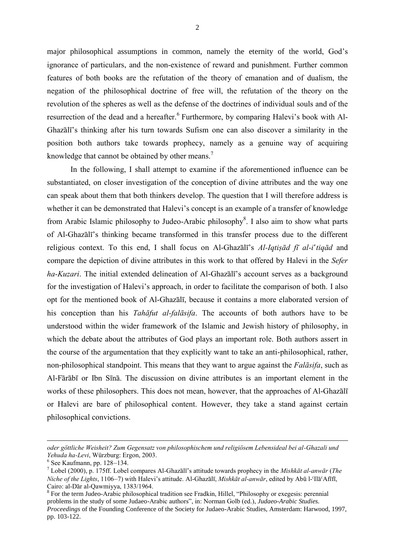major philosophical assumptions in common, namely the eternity of the world, God's ignorance of particulars, and the non-existence of reward and punishment. Further common features of both books are the refutation of the theory of emanation and of dualism, the negation of the philosophical doctrine of free will, the refutation of the theory on the revolution of the spheres as well as the defense of the doctrines of individual souls and of the resurrection of the dead and a hereafter.<sup>6</sup> Furthermore, by comparing Halevi's book with Al-Ghazālī's thinking after his turn towards Sufism one can also discover a similarity in the position both authors take towards prophecy, namely as a genuine way of acquiring knowledge that cannot be obtained by other means.<sup>7</sup>

In the following, I shall attempt to examine if the aforementioned influence can be substantiated, on closer investigation of the conception of divine attributes and the way one can speak about them that both thinkers develop. The question that I will therefore address is whether it can be demonstrated that Halevi's concept is an example of a transfer of knowledge from Arabic Islamic philosophy to Judeo-Arabic philosophy<sup>8</sup>. I also aim to show what parts of Al-Ghazālī's thinking became transformed in this transfer process due to the different religious context. To this end, I shall focus on Al-Ghazālī's *Al-Iqtiṣād fī al-i*'*tiqād* and compare the depiction of divine attributes in this work to that offered by Halevi in the *Sefer ha-Kuzari*. The initial extended delineation of Al-Ghazālī's account serves as a background for the investigation of Halevi's approach, in order to facilitate the comparison of both. I also opt for the mentioned book of Al-Ghazālī, because it contains a more elaborated version of his conception than his *Tahāfut al-falāsifa*. The accounts of both authors have to be understood within the wider framework of the Islamic and Jewish history of philosophy, in which the debate about the attributes of God plays an important role. Both authors assert in the course of the argumentation that they explicitly want to take an anti-philosophical, rather, non-philosophical standpoint. This means that they want to argue against the *Falāsifa*, such as Al-Fārābī or Ibn Sīnā. The discussion on divine attributes is an important element in the works of these philosophers. This does not mean, however, that the approaches of Al-Ghazālī or Halevi are bare of philosophical content. However, they take a stand against certain philosophical convictions.

*oder göttliche Weisheit? Zum Gegensatz von philosophischem und religiösem Lebensideal bei al-Ghazali und Yehuda ha-Levi*, Würzburg: Ergon, 2003.

<sup>6</sup> See Kaufmann, pp. 128–134.

<sup>7</sup> Lobel (2000), p. 175ff. Lobel compares Al-Ghazālī's attitude towards prophecy in the *Mishkāt al-anwār* (*The Niche of the Lights*, 1106–7) with Halevi's attitude. Al-Ghazālī, *Mishkāt al-anwār*, edited by Abū l-ʿIlāʿAfīfī, Cairo: al-Dār al-Qawmiyya, 1383/1964.

<sup>&</sup>lt;sup>8</sup> For the term Judeo-Arabic philosophical tradition see Fradkin, Hillel, "Philosophy or exegesis: perennial problems in the study of some Judaeo-Arabic authors", in: Norman Golb (ed.), *Judaeo-Arabic Studies. Proceedings* of the Founding Conference of the Society for Judaeo-Arabic Studies, Amsterdam: Harwood, 1997, pp. 103-122.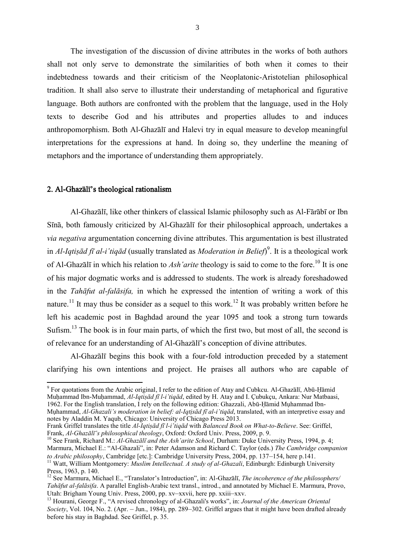The investigation of the discussion of divine attributes in the works of both authors shall not only serve to demonstrate the similarities of both when it comes to their indebtedness towards and their criticism of the Neoplatonic-Aristotelian philosophical tradition. It shall also serve to illustrate their understanding of metaphorical and figurative language. Both authors are confronted with the problem that the language, used in the Holy texts to describe God and his attributes and properties alludes to and induces anthropomorphism. Both Al-Ghazālī and Halevi try in equal measure to develop meaningful interpretations for the expressions at hand. In doing so, they underline the meaning of metaphors and the importance of understanding them appropriately.

## 2. Al-Ghazālī's theological rationalism

Al-Ghazālī, like other thinkers of classical Islamic philosophy such as Al-Fārābī or Ibn Sīnā, both famously criticized by Al-Ghazālī for their philosophical approach, undertakes a *via negativa* argumentation concerning divine attributes. This argumentation is best illustrated in *Al-Iqtiṣād fī al-i'tiqād* (usually translated as *Moderation in Belief*) 9 . It is a theological work of Al-Ghazālī in which his relation to *Ash'arite* theology is said to come to the fore.<sup>10</sup> It is one of his major dogmatic works and is addressed to students. The work is already foreshadowed in the *Tahāfut al-falāsifa,* in which he expressed the intention of writing a work of this nature.<sup>11</sup> It may thus be consider as a sequel to this work.<sup>12</sup> It was probably written before he left his academic post in Baghdad around the year 1095 and took a strong turn towards Sufism.<sup>13</sup> The book is in four main parts, of which the first two, but most of all, the second is of relevance for an understanding of Al-Ghazālī's conception of divine attributes.

Al-Ghazālī begins this book with a four-fold introduction preceded by a statement clarifying his own intentions and project. He praises all authors who are capable of

<sup>&</sup>lt;sup>9</sup> For quotations from the Arabic original, I refer to the edition of Atay and Cubkcu. Al-Ghazālī, Abū-Ḥāmid Muḥammad Ibn-Muḥammad, *Al-Iqtiṣād fī l-i'tiqād*, edited by H. Atay and I. Çubukçu, Ankara: Nur Matbaasi, 1962. For the English translation, I rely on the following edition: Ghazzali, Abū-Ḥāmid Mụhammad Ibn-Mụhammad, *Al-Ghazali's moderation in belief: al-Iqtịsād fī al-i'tiqād*, translated, with an interpretive essay and notes by Aladdin M. Yaqub, Chicago: University of Chicago Press 2013.

Frank Griffel translates the title *Al-Iqtiṣād fī l-i'tiqād* with *Balanced Book on What-to-Believe*. See: Griffel, Frank, *Al-Ghazālī's philosophical theology*, Oxford: Oxford Univ. Press, 2009, p. 9.

<sup>&</sup>lt;sup>10</sup> See Frank, Richard M.: *Al-Ghazālī and the Ash'arite School*, Durham: Duke University Press, 1994, p. 4; Marmura, Michael E.: "Al-Ghazali", in: Peter Adamson and Richard C. Taylor (eds.) *The Cambridge companion to Arabic philosophy*, Cambridge [etc.]: Cambridge University Press, 2004, pp. 137–154, here p.141. <sup>11</sup> Watt, William Montgomery: *Muslim Intellectual. A study of al-Ghazali*, Edinburgh: Edinburgh University

Press, 1963, p. 140.

<sup>12</sup> See Marmura, Michael E., "Translator's Introduction", in: Al-Ghazālī, *The incoherence of the philosophers/ Tahāfut al-falāsifa*. A parallel English-Arabic text transl., introd., and annotated by Michael E. Marmura, Provo, Utah: Brigham Young Univ. Press, 2000, pp. xv–xxvii, here pp. xxiii–xxv.

<sup>13</sup> Hourani, George F., "A revised chronology of al-Ghazali's works", in: *Journal of the American Oriental Society*, Vol. 104, No. 2. (Apr. – Jun., 1984), pp. 289–302. Griffel argues that it might have been drafted already before his stay in Baghdad. See Griffel, p. 35.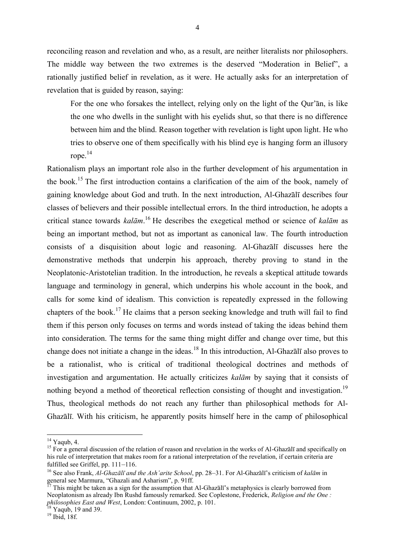reconciling reason and revelation and who, as a result, are neither literalists nor philosophers. The middle way between the two extremes is the deserved "Moderation in Belief", a rationally justified belief in revelation, as it were. He actually asks for an interpretation of revelation that is guided by reason, saying:

For the one who forsakes the intellect, relying only on the light of the Qur'ān, is like the one who dwells in the sunlight with his eyelids shut, so that there is no difference between him and the blind. Reason together with revelation is light upon light. He who tries to observe one of them specifically with his blind eye is hanging form an illusory rope.<sup>14</sup>

Rationalism plays an important role also in the further development of his argumentation in the book. <sup>15</sup> The first introduction contains a clarification of the aim of the book, namely of gaining knowledge about God and truth. In the next introduction, Al-Ghazālī describes four classes of believers and their possible intellectual errors. In the third introduction, he adopts a critical stance towards *kalām*. <sup>16</sup> He describes the exegetical method or science of *kalām* as being an important method, but not as important as canonical law. The fourth introduction consists of a disquisition about logic and reasoning. Al-Ghazālī discusses here the demonstrative methods that underpin his approach, thereby proving to stand in the Neoplatonic-Aristotelian tradition. In the introduction, he reveals a skeptical attitude towards language and terminology in general, which underpins his whole account in the book, and calls for some kind of idealism. This conviction is repeatedly expressed in the following chapters of the book.<sup>17</sup> He claims that a person seeking knowledge and truth will fail to find them if this person only focuses on terms and words instead of taking the ideas behind them into consideration. The terms for the same thing might differ and change over time, but this change does not initiate a change in the ideas.<sup>18</sup> In this introduction, Al-Ghazālī also proves to be a rationalist, who is critical of traditional theological doctrines and methods of investigation and argumentation. He actually criticizes *kalām* by saying that it consists of nothing beyond a method of theoretical reflection consisting of thought and investigation.<sup>19</sup> Thus, theological methods do not reach any further than philosophical methods for Al-Ghazālī. With his criticism, he apparently posits himself here in the camp of philosophical

 $^{14}$  Yaqub, 4.

<sup>&</sup>lt;sup>15</sup> For a general discussion of the relation of reason and revelation in the works of Al-Ghazālī and specifically on his rule of interpretation that makes room for a rational interpretation of the revelation, if certain criteria are fulfilled see Griffel, pp. 111–116.

<sup>16</sup> See also Frank, *Al-Ghazālī and the Ash'arite School*, pp. 28–31. For Al-Ghazālī's criticism of *kalām* in general see Marmura, "Ghazali and Asharism", p. 91ff.

 $^{17}$  This might be taken as a sign for the assumption that Al-Ghazali's metaphysics is clearly borrowed from Neoplatonism as already Ibn Rushd famously remarked. See Coplestone, Frederick, *Religion and the One : philosophies East and West*, London: Continuum, 2002, p. 101.

 $18$  Yaqub, 19 and 39.

 $19$  Ibid, 18f.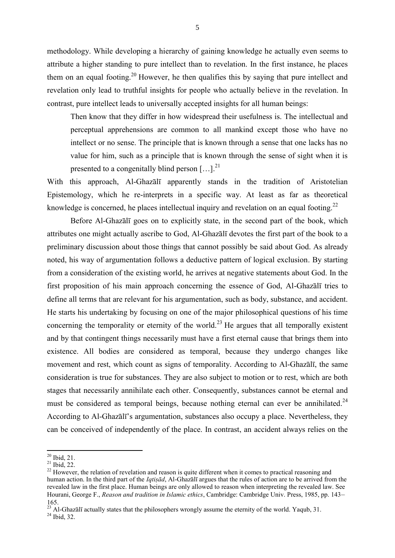methodology. While developing a hierarchy of gaining knowledge he actually even seems to attribute a higher standing to pure intellect than to revelation. In the first instance, he places them on an equal footing.<sup>20</sup> However, he then qualifies this by saying that pure intellect and revelation only lead to truthful insights for people who actually believe in the revelation. In contrast, pure intellect leads to universally accepted insights for all human beings:

Then know that they differ in how widespread their usefulness is. The intellectual and perceptual apprehensions are common to all mankind except those who have no intellect or no sense. The principle that is known through a sense that one lacks has no value for him, such as a principle that is known through the sense of sight when it is presented to a congenitally blind person  $[...]^{21}$ 

With this approach, Al-Ghazālī apparently stands in the tradition of Aristotelian Epistemology, which he re-interprets in a specific way. At least as far as theoretical knowledge is concerned, he places intellectual inquiry and revelation on an equal footing.<sup>22</sup>

Before Al-Ghazālī goes on to explicitly state, in the second part of the book, which attributes one might actually ascribe to God, Al-Ghazālī devotes the first part of the book to a preliminary discussion about those things that cannot possibly be said about God. As already noted, his way of argumentation follows a deductive pattern of logical exclusion. By starting from a consideration of the existing world, he arrives at negative statements about God. In the first proposition of his main approach concerning the essence of God, Al-Ghazālī tries to define all terms that are relevant for his argumentation, such as body, substance, and accident. He starts his undertaking by focusing on one of the major philosophical questions of his time concerning the temporality or eternity of the world.<sup>23</sup> He argues that all temporally existent and by that contingent things necessarily must have a first eternal cause that brings them into existence. All bodies are considered as temporal, because they undergo changes like movement and rest, which count as signs of temporality. According to Al-Ghazālī, the same consideration is true for substances. They are also subject to motion or to rest, which are both stages that necessarily annihilate each other. Consequently, substances cannot be eternal and must be considered as temporal beings, because nothing eternal can ever be annihilated.<sup>24</sup> According to Al-Ghazālī's argumentation, substances also occupy a place. Nevertheless, they can be conceived of independently of the place. In contrast, an accident always relies on the

 $20$  Ibid, 21.

 $^{21}$  Ibid, 22.

<sup>&</sup>lt;sup>22</sup> However, the relation of revelation and reason is quite different when it comes to practical reasoning and human action. In the third part of the *Iqtiṣād*, Al-Ghazālī argues that the rules of action are to be arrived from the revealed law in the first place. Human beings are only allowed to reason when interpreting the revealed law. See Hourani, George F., *Reason and tradition in Islamic ethics*, Cambridge: Cambridge Univ. Press, 1985, pp. 143– 165.

<sup>&</sup>lt;sup>23</sup> Al-Ghazālī actually states that the philosophers wrongly assume the eternity of the world. Yaqub, 31.

 $24$  Ibid, 32.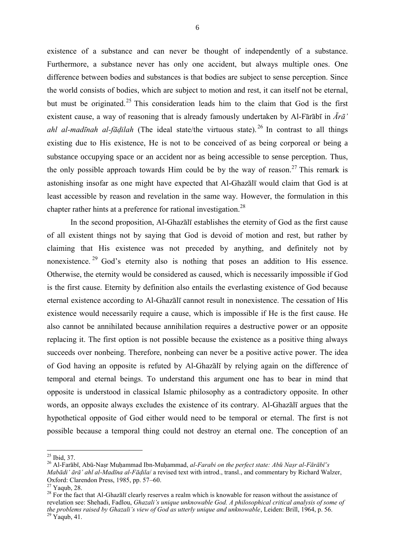existence of a substance and can never be thought of independently of a substance. Furthermore, a substance never has only one accident, but always multiple ones. One difference between bodies and substances is that bodies are subject to sense perception. Since the world consists of bodies, which are subject to motion and rest, it can itself not be eternal, but must be originated. <sup>25</sup> This consideration leads him to the claim that God is the first existent cause, a way of reasoning that is already famously undertaken by Al-Fārābī in *Ārā' ahl al-madīnah al-fāḍilah* (The ideal state/the virtuous state). <sup>26</sup> In contrast to all things existing due to His existence, He is not to be conceived of as being corporeal or being a substance occupying space or an accident nor as being accessible to sense perception. Thus, the only possible approach towards Him could be by the way of reason.<sup>27</sup> This remark is astonishing insofar as one might have expected that Al-Ghazālī would claim that God is at least accessible by reason and revelation in the same way. However, the formulation in this chapter rather hints at a preference for rational investigation.<sup>28</sup>

In the second proposition, Al-Ghazālī establishes the eternity of God as the first cause of all existent things not by saying that God is devoid of motion and rest, but rather by claiming that His existence was not preceded by anything, and definitely not by nonexistence.<sup>29</sup> God's eternity also is nothing that poses an addition to His essence. Otherwise, the eternity would be considered as caused, which is necessarily impossible if God is the first cause. Eternity by definition also entails the everlasting existence of God because eternal existence according to Al-Ghazālī cannot result in nonexistence. The cessation of His existence would necessarily require a cause, which is impossible if He is the first cause. He also cannot be annihilated because annihilation requires a destructive power or an opposite replacing it. The first option is not possible because the existence as a positive thing always succeeds over nonbeing. Therefore, nonbeing can never be a positive active power. The idea of God having an opposite is refuted by Al-Ghazālī by relying again on the difference of temporal and eternal beings. To understand this argument one has to bear in mind that opposite is understood in classical Islamic philosophy as a contradictory opposite. In other words, an opposite always excludes the existence of its contrary. Al-Ghazālī argues that the hypothetical opposite of God either would need to be temporal or eternal. The first is not possible because a temporal thing could not destroy an eternal one. The conception of an

 $\overline{\phantom{a}}$  $^{25}$  Ibid, 37.

<sup>26</sup> Al-Farābī, Abū-Naṣr Muḥammad Ibn-Muḥammad, *al-Farabi on the perfect state: Abū Naṣr al-Fārābī's Mabādi' ārā' ahl al-Madīna al-Fāḍila*/ a revised text with introd., transl., and commentary by Richard Walzer, Oxford: Clarendon Press, 1985, pp. 57–60.

 $27$  Yaqub, 28.

<sup>&</sup>lt;sup>28</sup> For the fact that Al-Ghazālī clearly reserves a realm which is knowable for reason without the assistance of revelation see: Shehadi, Fadlou, *Ghazali's unique unknowable God. A philosophical critical analysis of some of the problems raised by Ghazali's view of God as utterly unique and unknowable*, Leiden: Brill, 1964, p. 56.  $29$  Yaqub, 41.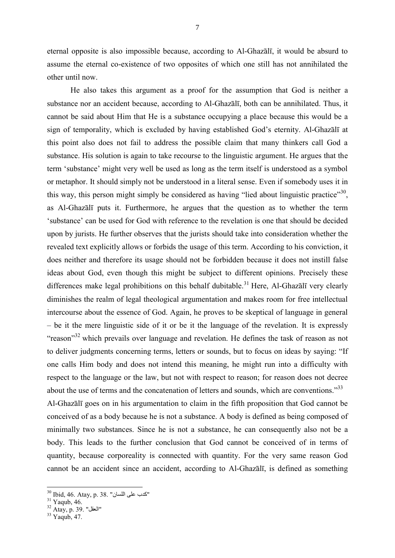eternal opposite is also impossible because, according to Al-Ghazālī, it would be absurd to assume the eternal co-existence of two opposites of which one still has not annihilated the other until now.

He also takes this argument as a proof for the assumption that God is neither a substance nor an accident because, according to Al-Ghazālī, both can be annihilated. Thus, it cannot be said about Him that He is a substance occupying a place because this would be a sign of temporality, which is excluded by having established God's eternity. Al-Ghazālī at this point also does not fail to address the possible claim that many thinkers call God a substance. His solution is again to take recourse to the linguistic argument. He argues that the term 'substance' might very well be used as long as the term itself is understood as a symbol or metaphor. It should simply not be understood in a literal sense. Even if somebody uses it in this way, this person might simply be considered as having "lied about linguistic practice"<sup>30</sup>, as Al-Ghazālī puts it. Furthermore, he argues that the question as to whether the term 'substance' can be used for God with reference to the revelation is one that should be decided upon by jurists. He further observes that the jurists should take into consideration whether the revealed text explicitly allows or forbids the usage of this term. According to his conviction, it does neither and therefore its usage should not be forbidden because it does not instill false ideas about God, even though this might be subject to different opinions. Precisely these differences make legal prohibitions on this behalf dubitable.<sup>31</sup> Here, Al-Ghazālī very clearly diminishes the realm of legal theological argumentation and makes room for free intellectual intercourse about the essence of God. Again, he proves to be skeptical of language in general – be it the mere linguistic side of it or be it the language of the revelation. It is expressly "reason"<sup>32</sup> which prevails over language and revelation. He defines the task of reason as not to deliver judgments concerning terms, letters or sounds, but to focus on ideas by saying: "If one calls Him body and does not intend this meaning, he might run into a difficulty with respect to the language or the law, but not with respect to reason; for reason does not decree about the use of terms and the concatenation of letters and sounds, which are conventions."<sup>33</sup> Al-Ghazālī goes on in his argumentation to claim in the fifth proposition that God cannot be conceived of as a body because he is not a substance. A body is defined as being composed of minimally two substances. Since he is not a substance, he can consequently also not be a body. This leads to the further conclusion that God cannot be conceived of in terms of quantity, because corporeality is connected with quantity. For the very same reason God

cannot be an accident since an accident, according to Al-Ghazālī, is defined as something

 $^{\rm 30}$  Ibid, 46. Atay, p. 38. "كدب على اللسان"

 $31$  Yaqub, 46.

 $^{\rm 32}$  Atay, p. 39. "العقل"

<sup>33</sup> Yaqub, 47.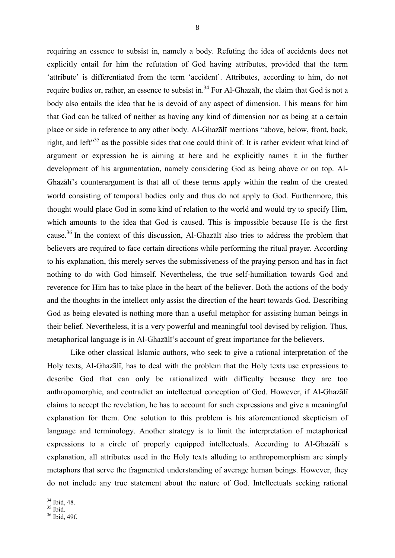requiring an essence to subsist in, namely a body. Refuting the idea of accidents does not explicitly entail for him the refutation of God having attributes, provided that the term 'attribute' is differentiated from the term 'accident'. Attributes, according to him, do not require bodies or, rather, an essence to subsist in.<sup>34</sup> For Al-Ghazālī, the claim that God is not a body also entails the idea that he is devoid of any aspect of dimension. This means for him that God can be talked of neither as having any kind of dimension nor as being at a certain place or side in reference to any other body. Al-Ghazālī mentions "above, below, front, back, right, and left<sup>"35</sup> as the possible sides that one could think of. It is rather evident what kind of argument or expression he is aiming at here and he explicitly names it in the further development of his argumentation, namely considering God as being above or on top. Al-Ghazālī's counterargument is that all of these terms apply within the realm of the created world consisting of temporal bodies only and thus do not apply to God. Furthermore, this thought would place God in some kind of relation to the world and would try to specify Him, which amounts to the idea that God is caused. This is impossible because He is the first cause.<sup>36</sup> In the context of this discussion, Al-Ghazālī also tries to address the problem that believers are required to face certain directions while performing the ritual prayer. According to his explanation, this merely serves the submissiveness of the praying person and has in fact nothing to do with God himself. Nevertheless, the true self-humiliation towards God and reverence for Him has to take place in the heart of the believer. Both the actions of the body and the thoughts in the intellect only assist the direction of the heart towards God. Describing God as being elevated is nothing more than a useful metaphor for assisting human beings in their belief. Nevertheless, it is a very powerful and meaningful tool devised by religion. Thus, metaphorical language is in Al-Ghazālī's account of great importance for the believers.

Like other classical Islamic authors, who seek to give a rational interpretation of the Holy texts, Al-Ghazālī, has to deal with the problem that the Holy texts use expressions to describe God that can only be rationalized with difficulty because they are too anthropomorphic, and contradict an intellectual conception of God. However, if Al-Ghazālī claims to accept the revelation, he has to account for such expressions and give a meaningful explanation for them. One solution to this problem is his aforementioned skepticism of language and terminology. Another strategy is to limit the interpretation of metaphorical expressions to a circle of properly equipped intellectuals. According to Al-Ghazālī s explanation, all attributes used in the Holy texts alluding to anthropomorphism are simply metaphors that serve the fragmented understanding of average human beings. However, they do not include any true statement about the nature of God. Intellectuals seeking rational

 $\overline{\phantom{a}}$  $34$  Ibid, 48.

 $35$  Ibid.

<sup>36</sup> Ibid, 49f.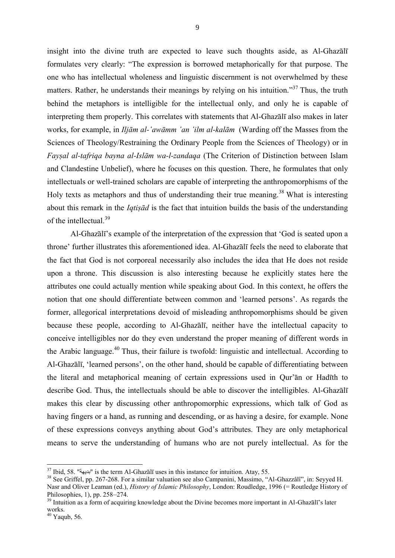insight into the divine truth are expected to leave such thoughts aside, as Al-Ghazālī formulates very clearly: "The expression is borrowed metaphorically for that purpose. The one who has intellectual wholeness and linguistic discernment is not overwhelmed by these matters. Rather, he understands their meanings by relying on his intuition."<sup>37</sup> Thus, the truth behind the metaphors is intelligible for the intellectual only, and only he is capable of interpreting them properly. This correlates with statements that Al-Ghazālī also makes in later works, for example, in *Iljām al-'awāmm 'an 'ilm al-kalām* (Warding off the Masses from the Sciences of Theology/Restraining the Ordinary People from the Sciences of Theology) or in *Fayṣal al-tafriqa bayna al-Islām wa-l-zandaqa* (The Criterion of Distinction between Islam and Clandestine Unbelief), where he focuses on this question. There, he formulates that only intellectuals or well-trained scholars are capable of interpreting the anthropomorphisms of the Holy texts as metaphors and thus of understanding their true meaning.<sup>38</sup> What is interesting about this remark in the *Iqtiṣād* is the fact that intuition builds the basis of the understanding of the intellectual.<sup>39</sup>

Al-Ghazālī's example of the interpretation of the expression that 'God is seated upon a throne' further illustrates this aforementioned idea. Al-Ghazālī feels the need to elaborate that the fact that God is not corporeal necessarily also includes the idea that He does not reside upon a throne. This discussion is also interesting because he explicitly states here the attributes one could actually mention while speaking about God. In this context, he offers the notion that one should differentiate between common and 'learned persons'. As regards the former, allegorical interpretations devoid of misleading anthropomorphisms should be given because these people, according to Al-Ghazālī, neither have the intellectual capacity to conceive intelligibles nor do they even understand the proper meaning of different words in the Arabic language. <sup>40</sup> Thus, their failure is twofold: linguistic and intellectual. According to Al-Ghazālī, 'learned persons', on the other hand, should be capable of differentiating between the literal and metaphorical meaning of certain expressions used in Qur'ān or Hadīth to describe God. Thus, the intellectuals should be able to discover the intelligibles. Al-Ghazālī makes this clear by discussing other anthropomorphic expressions, which talk of God as having fingers or a hand, as running and descending, or as having a desire, for example. None of these expressions conveys anything about God's attributes. They are only metaphorical means to serve the understanding of humans who are not purely intellectual. As for the

 $^{37}$  Ibid, 58. "بديهة" is the term Al-Ghazālī uses in this instance for intuition. Atay, 55.

<sup>&</sup>lt;sup>38</sup> See Griffel, pp. 267-268. For a similar valuation see also Campanini, Massimo, "Al-Ghazzâlî", in: Seyyed H. Nasr and Oliver Leaman (ed.), *History of Islamic Philosophy*, London: Roudledge, 1996 (= Routledge History of Philosophies, 1), pp. 258–274.

<sup>&</sup>lt;sup>39</sup> Intuition as a form of acquiring knowledge about the Divine becomes more important in Al-Ghazālī's later works.

 $40$  Yaqub, 56.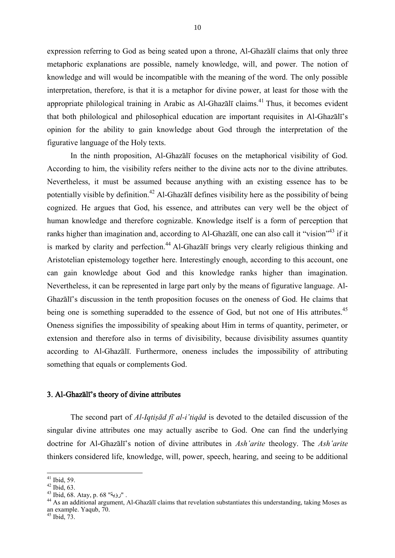expression referring to God as being seated upon a throne, Al-Ghazālī claims that only three metaphoric explanations are possible, namely knowledge, will, and power. The notion of knowledge and will would be incompatible with the meaning of the word. The only possible interpretation, therefore, is that it is a metaphor for divine power, at least for those with the appropriate philological training in Arabic as Al-Ghazālī claims.<sup>41</sup> Thus, it becomes evident that both philological and philosophical education are important requisites in Al-Ghazālī's opinion for the ability to gain knowledge about God through the interpretation of the figurative language of the Holy texts.

In the ninth proposition, Al-Ghazālī focuses on the metaphorical visibility of God. According to him, the visibility refers neither to the divine acts nor to the divine attributes. Nevertheless, it must be assumed because anything with an existing essence has to be potentially visible by definition.<sup>42</sup> Al-Ghazālī defines visibility here as the possibility of being cognized. He argues that God, his essence, and attributes can very well be the object of human knowledge and therefore cognizable. Knowledge itself is a form of perception that ranks higher than imagination and, according to Al-Ghazālī, one can also call it "vision"<sup>43</sup> if it is marked by clarity and perfection.<sup>44</sup> Al-Ghazalī brings very clearly religious thinking and Aristotelian epistemology together here. Interestingly enough, according to this account, one can gain knowledge about God and this knowledge ranks higher than imagination. Nevertheless, it can be represented in large part only by the means of figurative language. Al-Ghazālī's discussion in the tenth proposition focuses on the oneness of God. He claims that being one is something superadded to the essence of God, but not one of His attributes.<sup>45</sup> Oneness signifies the impossibility of speaking about Him in terms of quantity, perimeter, or extension and therefore also in terms of divisibility, because divisibility assumes quantity according to Al-Ghazālī. Furthermore, oneness includes the impossibility of attributing something that equals or complements God.

#### 3. Al-Ghazālī's theory of divine attributes

The second part of *Al-Iqtiṣād fī al-i'tiqād* is devoted to the detailed discussion of the singular divine attributes one may actually ascribe to God. One can find the underlying doctrine for Al-Ghazālī's notion of divine attributes in *Ash'arite* theology. The *Ash'arite* thinkers considered life, knowledge, will, power, speech, hearing, and seeing to be additional

 $^{41}$  Ibid, 59.

 $42$  Ibid,  $63$ .

 $^{43}$  Ibid, 68. Atay, p. 68 "رؤية".

<sup>44</sup> As an additional argument, Al-Ghazālī claims that revelation substantiates this understanding, taking Moses as an example. Yaqub, 70.

 $45$  Ibid,  $73$ .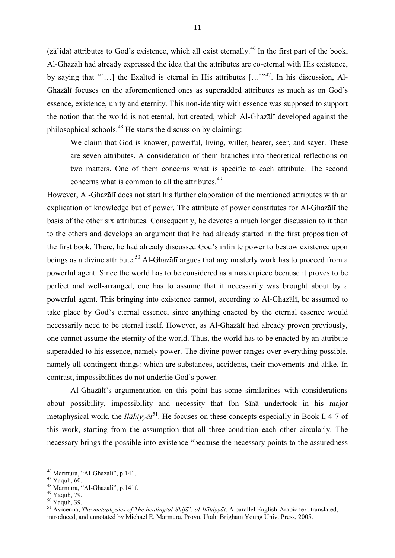$(z\bar{a}'')$  attributes to God's existence, which all exist eternally.<sup>46</sup> In the first part of the book, Al-Ghazālī had already expressed the idea that the attributes are co-eternal with His existence, by saying that "[...] the Exalted is eternal in His attributes  $\left[... \right]$ "<sup>47</sup>. In his discussion, Al-Ghazālī focuses on the aforementioned ones as superadded attributes as much as on God's essence, existence, unity and eternity. This non-identity with essence was supposed to support the notion that the world is not eternal, but created, which Al-Ghazālī developed against the philosophical schools.<sup>48</sup> He starts the discussion by claiming:

We claim that God is knower, powerful, living, willer, hearer, seer, and sayer. These are seven attributes. A consideration of them branches into theoretical reflections on two matters. One of them concerns what is specific to each attribute. The second concerns what is common to all the attributes.<sup>49</sup>

However, Al-Ghazālī does not start his further elaboration of the mentioned attributes with an explication of knowledge but of power. The attribute of power constitutes for Al-Ghazālī the basis of the other six attributes. Consequently, he devotes a much longer discussion to it than to the others and develops an argument that he had already started in the first proposition of the first book. There, he had already discussed God's infinite power to bestow existence upon beings as a divine attribute.<sup>50</sup> Al-Ghazālī argues that any masterly work has to proceed from a powerful agent. Since the world has to be considered as a masterpiece because it proves to be perfect and well-arranged, one has to assume that it necessarily was brought about by a powerful agent. This bringing into existence cannot, according to Al-Ghazālī, be assumed to take place by God's eternal essence, since anything enacted by the eternal essence would necessarily need to be eternal itself. However, as Al-Ghazālī had already proven previously, one cannot assume the eternity of the world. Thus, the world has to be enacted by an attribute superadded to his essence, namely power. The divine power ranges over everything possible, namely all contingent things: which are substances, accidents, their movements and alike. In contrast, impossibilities do not underlie God's power.

Al-Ghazālī's argumentation on this point has some similarities with considerations about possibility, impossibility and necessity that Ibn Sīnā undertook in his major metaphysical work, the *Ilāhiyyāt*<sup>51</sup> . He focuses on these concepts especially in Book I, 4-7 of this work, starting from the assumption that all three condition each other circularly*.* The necessary brings the possible into existence "because the necessary points to the assuredness

 $^{46}$  Marmura, "Al-Ghazali", p.141.

 $^{47}$  Yaqub, 60.

<sup>48</sup> Marmura, "Al-Ghazali", p.141f.

 $^{49}$  Yaqub, 79.

 $50 \text{ Yaqub}$ , 39.

<sup>51</sup> Avicenna, *The metaphysics of The healing/al-Shifā': al-Ilāhiyyāt*. A parallel English-Arabic text translated, introduced, and annotated by Michael E. Marmura, Provo, Utah: Brigham Young Univ. Press, 2005.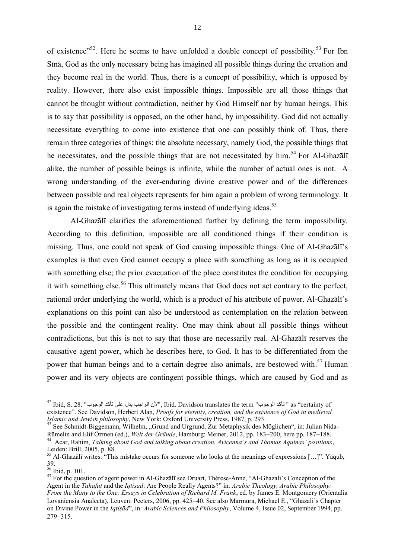of existence"<sup>52</sup>. Here he seems to have unfolded a double concept of possibility.<sup>53</sup> For Ibn Sīnā, God as the only necessary being has imagined all possible things during the creation and they become real in the world. Thus, there is a concept of possibility, which is opposed by reality. However, there also exist impossible things. Impossible are all those things that cannot be thought without contradiction, neither by God Himself nor by human beings. This is to say that possibility is opposed, on the other hand, by impossibility. God did not actually necessitate everything to come into existence that one can possibly think of. Thus, there remain three categories of things: the absolute necessary, namely God, the possible things that he necessitates, and the possible things that are not necessitated by him.<sup>54</sup> For Al-Ghaz $\bar{a}I\bar{b}$ alike, the number of possible beings is infinite, while the number of actual ones is not. A wrong understanding of the ever-enduring divine creative power and of the differences between possible and real objects represents for him again a problem of wrong terminology. It is again the mistake of investigating terms instead of underlying ideas.<sup>55</sup>

Al-Ghazālī clarifies the aforementioned further by defining the term impossibility. According to this definition, impossible are all conditioned things if their condition is missing. Thus, one could not speak of God causing impossible things. One of Al-Ghazālī's examples is that even God cannot occupy a place with something as long as it is occupied with something else; the prior evacuation of the place constitutes the condition for occupying it with something else.<sup>56</sup> This ultimately means that God does not act contrary to the perfect, rational order underlying the world, which is a product of his attribute of power. Al-Ghazālī's explanations on this point can also be understood as contemplation on the relation between the possible and the contingent reality. One may think about all possible things without contradictions, but this is not to say that those are necessarily real. Al-Ghazālī reserves the causative agent power, which he describes here, to God. It has to be differentiated from the power that human beings and to a certain degree also animals, are bestowed with.<sup>57</sup> Human power and its very objects are contingent possible things, which are caused by God and as

 $^{52}$  Ibid, S. 28. "الألن الواجب يدل على تأكد الوجوب " Ibid, S. 28. "فتاكد الوجوب " " as "certainty of existence". See Davidson, Herbert Alan, *Proofs for eternity, creation, and the existence of God in medieval Islamic and Jewish philosophy*, New York: Oxford University Press, 1987, p. 293.

<sup>53</sup> See Schmidt-Biggemann, Wilhelm, "Grund und Urgrund. Zur Metaphysik des Möglichen", in: Julian Nida-Rümelin and Elif Özmen (ed.), *Welt der Gründe*, Hamburg: Meiner, 2012, pp. 183–200, here pp. 187–188.

<sup>54</sup> Acar, Rahim, *Talking about God and talking about creation. Avicenna's and Thomas Aquinas' positions*, Leiden: Brill, 2005, p. 88.

<sup>&</sup>lt;sup>55</sup> Al-Ghazālī writes: "This mistake occurs for someone who looks at the meanings of expressions [...]". Yaqub, 39.

 $\frac{56}{1}$  Ibid, p. 101.

<sup>&</sup>lt;sup>57</sup> For the question of agent power in Al-Ghazālī see Druart, Thérèse-Anne, "Al-Ghazali's Conception of the Agent in the *Tahafut* and the *Iqtisad*: Are People Really Agents?" in: *Arabic Theology, Arabic Philosophy: From the Many to the One: Essays in Celebration of Richard M. Frank*, ed. by James E. Montgomery (Orientalia Lovaniensia Analecta), Leuven: Peeters, 2006, pp. 425–40. See also Marmura, Michael E., "Ghazali's Chapter on Divine Power in the *Iqtiṣād*", in: *Arabic Sciences and Philosophy*, Volume 4, Issue 02, September 1994, pp. 279–315.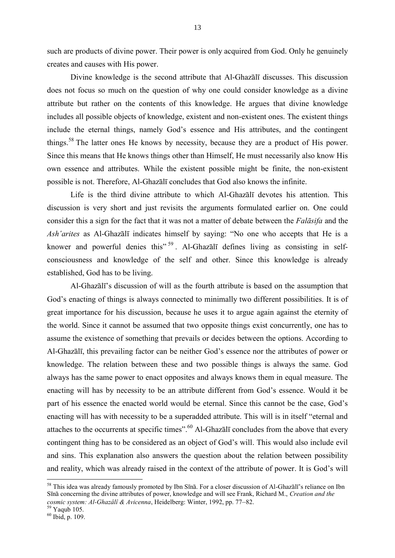such are products of divine power. Their power is only acquired from God. Only he genuinely creates and causes with His power.

Divine knowledge is the second attribute that Al-Ghazālī discusses. This discussion does not focus so much on the question of why one could consider knowledge as a divine attribute but rather on the contents of this knowledge. He argues that divine knowledge includes all possible objects of knowledge, existent and non-existent ones. The existent things include the eternal things, namely God's essence and His attributes, and the contingent things.<sup>58</sup> The latter ones He knows by necessity, because they are a product of His power. Since this means that He knows things other than Himself, He must necessarily also know His own essence and attributes. While the existent possible might be finite, the non-existent possible is not. Therefore, Al-Ghazālī concludes that God also knows the infinite.

Life is the third divine attribute to which Al-Ghazālī devotes his attention. This discussion is very short and just revisits the arguments formulated earlier on. One could consider this a sign for the fact that it was not a matter of debate between the *Falāsifa* and the *Ash'arites* as Al-Ghazālī indicates himself by saying: "No one who accepts that He is a knower and powerful denies this"<sup>59</sup>. Al-Ghazalī defines living as consisting in selfconsciousness and knowledge of the self and other. Since this knowledge is already established, God has to be living.

Al-Ghazālī's discussion of will as the fourth attribute is based on the assumption that God's enacting of things is always connected to minimally two different possibilities. It is of great importance for his discussion, because he uses it to argue again against the eternity of the world. Since it cannot be assumed that two opposite things exist concurrently, one has to assume the existence of something that prevails or decides between the options. According to Al-Ghazālī, this prevailing factor can be neither God's essence nor the attributes of power or knowledge. The relation between these and two possible things is always the same. God always has the same power to enact opposites and always knows them in equal measure. The enacting will has by necessity to be an attribute different from God's essence. Would it be part of his essence the enacted world would be eternal. Since this cannot be the case, God's enacting will has with necessity to be a superadded attribute. This will is in itself "eternal and attaches to the occurrents at specific times".<sup>60</sup> Al-Ghazālī concludes from the above that every contingent thing has to be considered as an object of God's will. This would also include evil and sins. This explanation also answers the question about the relation between possibility and reality, which was already raised in the context of the attribute of power. It is God's will

<sup>&</sup>lt;sup>58</sup> This idea was already famously promoted by Ibn Sīnā. For a closer discussion of Al-Ghazālī's reliance on Ibn Sīnā concerning the divine attributes of power, knowledge and will see Frank, Richard M., *Creation and the cosmic system: Al-Ghazâlî & Avicenna*, Heidelberg: Winter, 1992, pp. 77–82.

 $\frac{59}{10}$  Yaqub 105.

 $60$  Ibid, p. 109.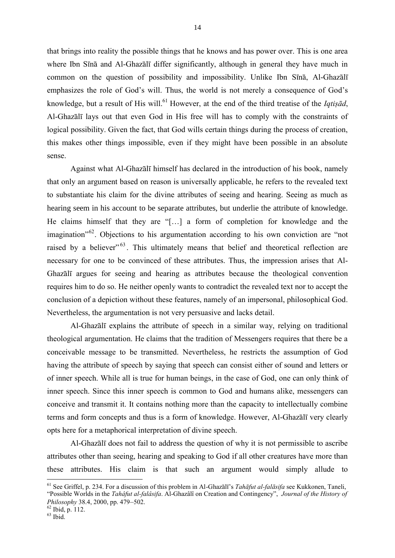that brings into reality the possible things that he knows and has power over. This is one area where Ibn Sīnā and Al-Ghazālī differ significantly, although in general they have much in common on the question of possibility and impossibility. Unlike Ibn Sīnā, Al-Ghazālī emphasizes the role of God's will. Thus, the world is not merely a consequence of God's knowledge, but a result of His will.<sup>61</sup> However, at the end of the third treatise of the *Iqtisad*, Al-Ghazālī lays out that even God in His free will has to comply with the constraints of logical possibility. Given the fact, that God wills certain things during the process of creation, this makes other things impossible, even if they might have been possible in an absolute sense.

Against what Al-Ghazālī himself has declared in the introduction of his book, namely that only an argument based on reason is universally applicable, he refers to the revealed text to substantiate his claim for the divine attributes of seeing and hearing. Seeing as much as hearing seem in his account to be separate attributes, but underlie the attribute of knowledge. He claims himself that they are "[…] a form of completion for knowledge and the imagination<sup>"62</sup>. Objections to his argumentation according to his own conviction are "not raised by a believer"<sup>63</sup>. This ultimately means that belief and theoretical reflection are necessary for one to be convinced of these attributes. Thus, the impression arises that Al-Ghazālī argues for seeing and hearing as attributes because the theological convention requires him to do so. He neither openly wants to contradict the revealed text nor to accept the conclusion of a depiction without these features, namely of an impersonal, philosophical God. Nevertheless, the argumentation is not very persuasive and lacks detail.

Al-Ghazālī explains the attribute of speech in a similar way, relying on traditional theological argumentation. He claims that the tradition of Messengers requires that there be a conceivable message to be transmitted. Nevertheless, he restricts the assumption of God having the attribute of speech by saying that speech can consist either of sound and letters or of inner speech. While all is true for human beings, in the case of God, one can only think of inner speech. Since this inner speech is common to God and humans alike, messengers can conceive and transmit it. It contains nothing more than the capacity to intellectually combine terms and form concepts and thus is a form of knowledge. However, Al-Ghazālī very clearly opts here for a metaphorical interpretation of divine speech.

Al-Ghazālī does not fail to address the question of why it is not permissible to ascribe attributes other than seeing, hearing and speaking to God if all other creatures have more than these attributes. His claim is that such an argument would simply allude to  $\overline{\phantom{a}}$ 

<sup>61</sup> See Griffel, p. 234. For a discussion of this problem in Al-Ghazālī's *Tahāfut al-falāsifa* see Kukkonen, Taneli, "Possible Worlds in the *Tahâfut al-falâsifa*. Al-Ghazâlî on Creation and Contingency", *Journal of the History of Philosophy* 38.4, 2000, pp. 479–502.

 $62$  Ibid, p. 112.

 $63$  Ibid.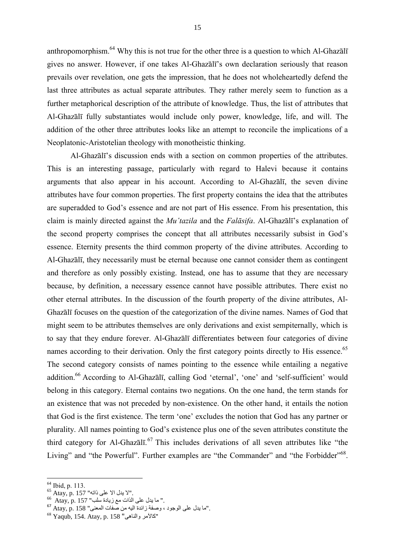anthropomorphism.<sup>64</sup> Why this is not true for the other three is a question to which Al-Ghazali gives no answer. However, if one takes Al-Ghazālī's own declaration seriously that reason prevails over revelation, one gets the impression, that he does not wholeheartedly defend the last three attributes as actual separate attributes. They rather merely seem to function as a further metaphorical description of the attribute of knowledge. Thus, the list of attributes that Al-Ghazālī fully substantiates would include only power, knowledge, life, and will. The addition of the other three attributes looks like an attempt to reconcile the implications of a Neoplatonic-Aristotelian theology with monotheistic thinking.

Al-Ghazālī's discussion ends with a section on common properties of the attributes. This is an interesting passage, particularly with regard to Halevi because it contains arguments that also appear in his account. According to Al-Ghazālī, the seven divine attributes have four common properties. The first property contains the idea that the attributes are superadded to God's essence and are not part of His essence. From his presentation, this claim is mainly directed against the *Mu'tazila* and the *Falāsifa*. Al-Ghazālī's explanation of the second property comprises the concept that all attributes necessarily subsist in God's essence. Eternity presents the third common property of the divine attributes. According to Al-Ghazālī, they necessarily must be eternal because one cannot consider them as contingent and therefore as only possibly existing. Instead, one has to assume that they are necessary because, by definition, a necessary essence cannot have possible attributes. There exist no other eternal attributes. In the discussion of the fourth property of the divine attributes, Al-Ghazālī focuses on the question of the categorization of the divine names. Names of God that might seem to be attributes themselves are only derivations and exist sempiternally, which is to say that they endure forever. Al-Ghazālī differentiates between four categories of divine names according to their derivation. Only the first category points directly to His essence.<sup>65</sup> The second category consists of names pointing to the essence while entailing a negative addition.<sup>66</sup> According to Al-Ghazālī, calling God 'eternal', 'one' and 'self-sufficient' would belong in this category. Eternal contains two negations. On the one hand, the term stands for an existence that was not preceded by non-existence. On the other hand, it entails the notion that God is the first existence. The term 'one' excludes the notion that God has any partner or plurality. All names pointing to God's existence plus one of the seven attributes constitute the third category for Al-Ghazālī.<sup>67</sup> This includes derivations of all seven attributes like "the Living" and "the Powerful". Further examples are "the Commander" and "the Forbidder"<sup>68</sup>.

 $64$  Ibid, p. 113.

 $^{65}$  Atay, p. 157 "إلا يدل الا على ذاته".

 $^{66}$  Atay, p. 157 "سا يدل على الذات مع زيادة سلب.

<sup>.&</sup>quot;ما يدل على الوجود ، وصفة زائدة اليه من صفات المعنى" 158 Atay, p. 158

<sup>68</sup> Yaqub, 154. Atay, p. 158 "والناهى كاآلمر "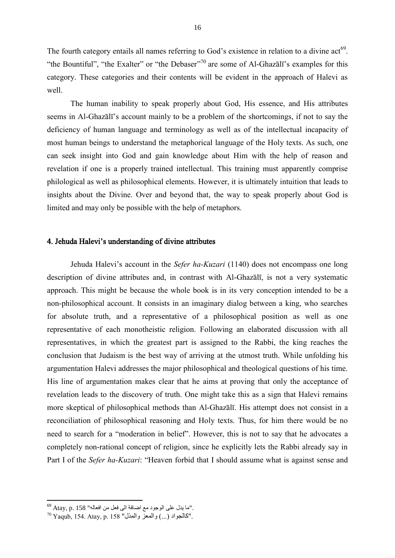The fourth category entails all names referring to God's existence in relation to a divine act<sup>69</sup>. "the Bountiful", "the Exalter" or "the Debaser"<sup>70</sup> are some of Al-Ghazal $\bar{\text{i}}$ 's examples for this category. These categories and their contents will be evident in the approach of Halevi as well.

The human inability to speak properly about God, His essence, and His attributes seems in Al-Ghazālī's account mainly to be a problem of the shortcomings, if not to say the deficiency of human language and terminology as well as of the intellectual incapacity of most human beings to understand the metaphorical language of the Holy texts. As such, one can seek insight into God and gain knowledge about Him with the help of reason and revelation if one is a properly trained intellectual. This training must apparently comprise philological as well as philosophical elements. However, it is ultimately intuition that leads to insights about the Divine. Over and beyond that, the way to speak properly about God is limited and may only be possible with the help of metaphors.

# 4. Jehuda Halevi's understanding of divine attributes

Jehuda Halevi's account in the *Sefer ha-Kuzari* (1140) does not encompass one long description of divine attributes and, in contrast with Al-Ghazālī, is not a very systematic approach. This might be because the whole book is in its very conception intended to be a non-philosophical account. It consists in an imaginary dialog between a king, who searches for absolute truth, and a representative of a philosophical position as well as one representative of each monotheistic religion. Following an elaborated discussion with all representatives, in which the greatest part is assigned to the Rabbi, the king reaches the conclusion that Judaism is the best way of arriving at the utmost truth. While unfolding his argumentation Halevi addresses the major philosophical and theological questions of his time. His line of argumentation makes clear that he aims at proving that only the acceptance of revelation leads to the discovery of truth. One might take this as a sign that Halevi remains more skeptical of philosophical methods than Al-Ghazālī. His attempt does not consist in a reconciliation of philosophical reasoning and Holy texts. Thus, for him there would be no need to search for a "moderation in belief". However, this is not to say that he advocates a completely non-rational concept of religion, since he explicitly lets the Rabbi already say in Part I of the *Sefer ha-Kuzari*: "Heaven forbid that I should assume what is against sense and

 $^{69}$  Atay, p. 158 "ما يدل على الوجود مع اضافة الى فعل من افعاله".

 $^{70}$  Yaqub, 154. Atay, p. 158 "كالجواد (...) والمعز والمذل".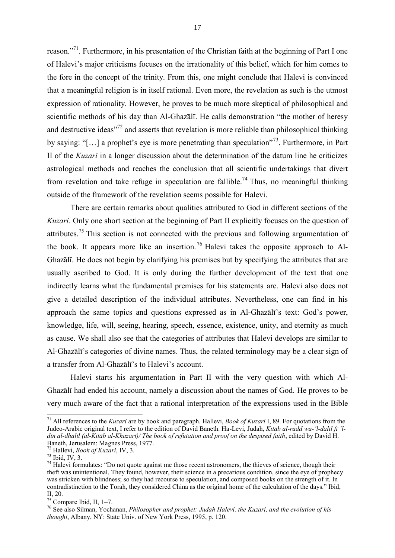reason."<sup>71</sup>. Furthermore, in his presentation of the Christian faith at the beginning of Part I one of Halevi's major criticisms focuses on the irrationality of this belief, which for him comes to the fore in the concept of the trinity. From this, one might conclude that Halevi is convinced that a meaningful religion is in itself rational. Even more, the revelation as such is the utmost expression of rationality. However, he proves to be much more skeptical of philosophical and scientific methods of his day than Al-Ghazālī. He calls demonstration "the mother of heresy and destructive ideas"<sup>72</sup> and asserts that revelation is more reliable than philosophical thinking by saying: "[...] a prophet's eye is more penetrating than speculation"<sup>73</sup>. Furthermore, in Part II of the *Kuzari* in a longer discussion about the determination of the datum line he criticizes astrological methods and reaches the conclusion that all scientific undertakings that divert from revelation and take refuge in speculation are fallible.<sup>74</sup> Thus, no meaningful thinking outside of the framework of the revelation seems possible for Halevi.

There are certain remarks about qualities attributed to God in different sections of the *Kuzari*. Only one short section at the beginning of Part II explicitly focuses on the question of attributes.<sup>75</sup> This section is not connected with the previous and following argumentation of the book. It appears more like an insertion. <sup>76</sup> Halevi takes the opposite approach to Al-Ghazālī. He does not begin by clarifying his premises but by specifying the attributes that are usually ascribed to God. It is only during the further development of the text that one indirectly learns what the fundamental premises for his statements are. Halevi also does not give a detailed description of the individual attributes. Nevertheless, one can find in his approach the same topics and questions expressed as in Al-Ghazālī's text: God's power, knowledge, life, will, seeing, hearing, speech, essence, existence, unity, and eternity as much as cause. We shall also see that the categories of attributes that Halevi develops are similar to Al-Ghazālī's categories of divine names. Thus, the related terminology may be a clear sign of a transfer from Al-Ghazālī's to Halevi's account.

Halevi starts his argumentation in Part II with the very question with which Al-Ghazālī had ended his account, namely a discussion about the names of God. He proves to be very much aware of the fact that a rational interpretation of the expressions used in the Bible

 $\overline{\phantom{a}}$ <sup>71</sup> All references to the *Kuzari* are by book and paragraph. Hallevi, *Book of Kuzari* I, 89. For quotations from the Judeo-Arabic original text, I refer to the edition of David Baneth. Ha-Levi, Judah, *Kitāb al-radd wa-'l-dalīl fī 'ldīn al-dhalīl (al-Kitāb al-Khazarī)/ The book of refutation and proof on the despised faith*, edited by David H. Baneth, Jerusalem: Magnes Press, 1977.

<sup>72</sup> Hallevi, *Book of Kuzari*, IV, 3.

 $\frac{73}{1}$  Ibid, IV, 3.

 $74$  Halevi formulates: "Do not quote against me those recent astronomers, the thieves of science, though their theft was unintentional. They found, however, their science in a precarious condition, since the eye of prophecy was stricken with blindness; so they had recourse to speculation, and composed books on the strength of it. In contradistinction to the Torah, they considered China as the original home of the calculation of the days." Ibid, II, 20.

 $75$  Compare Ibid, II, 1–7.

<sup>76</sup> See also Silman, Yochanan, *Philosopher and prophet: Judah Halevi, the Kuzari, and the evolution of his thought*, Albany, NY: State Univ. of New York Press, 1995, p. 120.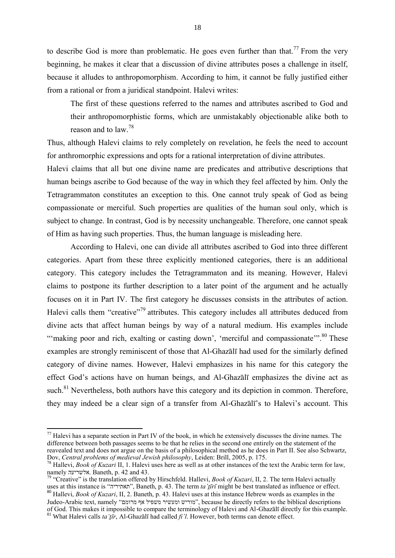to describe God is more than problematic. He goes even further than that.<sup>77</sup> From the very beginning, he makes it clear that a discussion of divine attributes poses a challenge in itself, because it alludes to anthropomorphism. According to him, it cannot be fully justified either from a rational or from a juridical standpoint. Halevi writes:

The first of these questions referred to the names and attributes ascribed to God and their anthropomorphistic forms, which are unmistakably objectionable alike both to reason and to law.<sup>78</sup>

Thus, although Halevi claims to rely completely on revelation, he feels the need to account for anthromorphic expressions and opts for a rational interpretation of divine attributes.

Halevi claims that all but one divine name are predicates and attributive descriptions that human beings ascribe to God because of the way in which they feel affected by him. Only the Tetragrammaton constitutes an exception to this. One cannot truly speak of God as being compassionate or merciful. Such properties are qualities of the human soul only, which is subject to change. In contrast, God is by necessity unchangeable. Therefore, one cannot speak of Him as having such properties. Thus, the human language is misleading here.

According to Halevi, one can divide all attributes ascribed to God into three different categories. Apart from these three explicitly mentioned categories, there is an additional category. This category includes the Tetragrammaton and its meaning. However, Halevi claims to postpone its further description to a later point of the argument and he actually focuses on it in Part IV. The first category he discusses consists in the attributes of action. Halevi calls them "creative"<sup>79</sup> attributes. This category includes all attributes deduced from divine acts that affect human beings by way of a natural medium. His examples include "'making poor and rich, exalting or casting down', 'merciful and compassionate'".<sup>80</sup> These examples are strongly reminiscent of those that Al-Ghazālī had used for the similarly defined category of divine names. However, Halevi emphasizes in his name for this category the effect God's actions have on human beings, and Al-Ghazālī emphasizes the divine act as such.<sup>81</sup> Nevertheless, both authors have this category and its depiction in common. Therefore, they may indeed be a clear sign of a transfer from Al-Ghazālī's to Halevi's account. This

 $77$  Halevi has a separate section in Part IV of the book, in which he extensively discusses the divine names. The difference between both passages seems to be that he relies in the second one entirely on the statement of the reavealed text and does not argue on the basis of a philosophical method as he does in Part II. See also Schwartz, Dov, *Central problems of medieval Jewish philosophy*, Leiden: Brill, 2005, p. 175.

<sup>78</sup> Hallevi, *Book of Kuzari* II, 1. Halevi uses here as well as at other instances of the text the Arabic term for law, namely אלשריעה. Baneth, p. 42 and 43.

<sup>79</sup> "Creative" is the translation offered by Hirschfeld. Hallevi, *Book of Kuzari*, II, 2. The term Halevi actually uses at this instance is "תאתיריה", Baneth, p. 43. The term *ta'ṯīrī* might be best translated as influence or effect. <sup>80</sup> Hallevi, *Book of Kuzari*, II, 2. Baneth, p. 43. Halevi uses at this instance Hebrew words as examples in the

Judeo-Arabic text, namely "מרומם אף משפיל ומעשיר מוריש", because he directly refers to the biblical descriptions of God. This makes it impossible to compare the terminology of Halevi and Al-Ghazālī directly for this example.

<sup>81</sup> What Halevi calls *ta'ṯīr*, Al-Ghazālī had called *fi'l*. However, both terms can denote effect.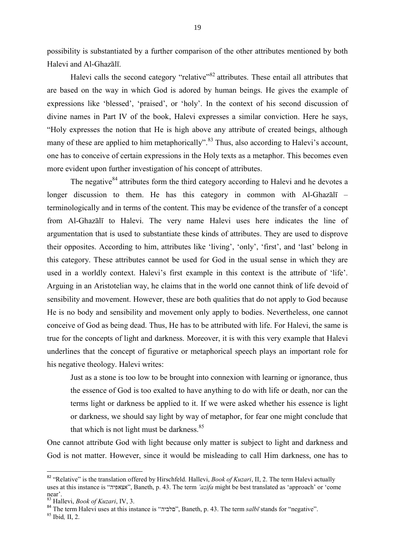possibility is substantiated by a further comparison of the other attributes mentioned by both Halevi and Al-Ghazālī.

Halevi calls the second category "relative"<sup>82</sup> attributes. These entail all attributes that are based on the way in which God is adored by human beings. He gives the example of expressions like 'blessed', 'praised', or 'holy'. In the context of his second discussion of divine names in Part IV of the book, Halevi expresses a similar conviction. Here he says, "Holy expresses the notion that He is high above any attribute of created beings, although many of these are applied to him metaphorically".<sup>83</sup> Thus, also according to Halevi's account, one has to conceive of certain expressions in the Holy texts as a metaphor. This becomes even more evident upon further investigation of his concept of attributes.

The negative  $84$  attributes form the third category according to Halevi and he devotes a longer discussion to them. He has this category in common with Al-Ghazali – terminologically and in terms of the content. This may be evidence of the transfer of a concept from Al-Ghazālī to Halevi. The very name Halevi uses here indicates the line of argumentation that is used to substantiate these kinds of attributes. They are used to disprove their opposites. According to him, attributes like 'living', 'only', 'first', and 'last' belong in this category. These attributes cannot be used for God in the usual sense in which they are used in a worldly context. Halevi's first example in this context is the attribute of 'life'. Arguing in an Aristotelian way, he claims that in the world one cannot think of life devoid of sensibility and movement. However, these are both qualities that do not apply to God because He is no body and sensibility and movement only apply to bodies. Nevertheless, one cannot conceive of God as being dead. Thus, He has to be attributed with life. For Halevi, the same is true for the concepts of light and darkness. Moreover, it is with this very example that Halevi underlines that the concept of figurative or metaphorical speech plays an important role for his negative theology. Halevi writes:

Just as a stone is too low to be brought into connexion with learning or ignorance, thus the essence of God is too exalted to have anything to do with life or death, nor can the terms light or darkness be applied to it. If we were asked whether his essence is light or darkness, we should say light by way of metaphor, for fear one might conclude that that which is not light must be darkness.<sup>85</sup>

One cannot attribute God with light because only matter is subject to light and darkness and God is not matter. However, since it would be misleading to call Him darkness, one has to

 $\overline{a}$ 

<sup>&</sup>lt;sup>82</sup> "Relative" is the translation offered by Hirschfeld. Hallevi, *Book of Kuzari*, II, 2. The term Halevi actually uses at this instance is "אצאפיה", Baneth, p. 43. The term *'azifa* might be best translated as 'approach' or 'come near'.

<sup>83</sup> Hallevi, *Book of Kuzari*, IV, 3.

<sup>84</sup> The term Halevi uses at this instance is "םלביה", Baneth, p. 43. The term *salbī* stands for "negative".

<sup>85</sup> Ibid*,* II, 2.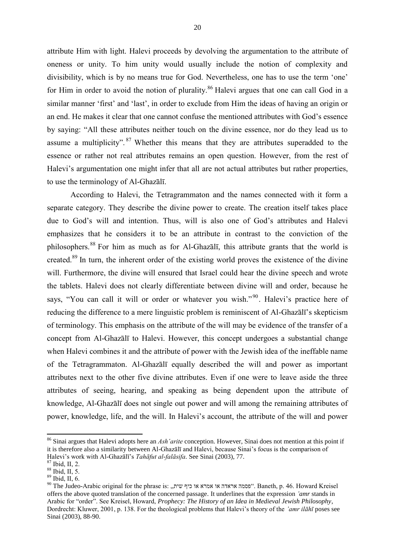attribute Him with light. Halevi proceeds by devolving the argumentation to the attribute of oneness or unity. To him unity would usually include the notion of complexity and divisibility, which is by no means true for God. Nevertheless, one has to use the term 'one' for Him in order to avoid the notion of plurality.<sup>86</sup> Halevi argues that one can call God in a similar manner 'first' and 'last', in order to exclude from Him the ideas of having an origin or an end. He makes it clear that one cannot confuse the mentioned attributes with God's essence by saying: "All these attributes neither touch on the divine essence, nor do they lead us to assume a multiplicity".<sup>87</sup> Whether this means that they are attributes superadded to the essence or rather not real attributes remains an open question. However, from the rest of Halevi's argumentation one might infer that all are not actual attributes but rather properties, to use the terminology of Al-Ghazālī.

According to Halevi, the Tetragrammaton and the names connected with it form a separate category. They describe the divine power to create. The creation itself takes place due to God's will and intention. Thus, will is also one of God's attributes and Halevi emphasizes that he considers it to be an attribute in contrast to the conviction of the philosophers. <sup>88</sup> For him as much as for Al-Ghazālī, this attribute grants that the world is created.<sup>89</sup> In turn, the inherent order of the existing world proves the existence of the divine will. Furthermore, the divine will ensured that Israel could hear the divine speech and wrote the tablets. Halevi does not clearly differentiate between divine will and order, because he says, "You can call it will or order or whatever you wish."<sup>90</sup>. Halevi's practice here of reducing the difference to a mere linguistic problem is reminiscent of Al-Ghazālī's skepticism of terminology. This emphasis on the attribute of the will may be evidence of the transfer of a concept from Al-Ghazālī to Halevi. However, this concept undergoes a substantial change when Halevi combines it and the attribute of power with the Jewish idea of the ineffable name of the Tetragrammaton. Al-Ghazālī equally described the will and power as important attributes next to the other five divine attributes. Even if one were to leave aside the three attributes of seeing, hearing, and speaking as being dependent upon the attribute of knowledge, Al-Ghazālī does not single out power and will among the remaining attributes of power, knowledge, life, and the will. In Halevi's account, the attribute of the will and power

 $\overline{a}$ 

<sup>86</sup> Sinai argues that Halevi adopts here an *Ashʽarite* conception. However, Sinai does not mention at this point if it is therefore also a similarity between Al-Ghazālī and Halevi, because Sinai's focus is the comparison of Halevi's work with Al-Ghazālī's *Tahāfut al-falāsifa*. See Sinai (2003), 77.

 $\frac{87}{1}$  Ibid, II, 2.

 $88$  Ibid, II, 5.

 $89$  Ibid, II, 6.

 $90$  The Judeo-Arabic original for the phrase is: "פסמה אראדה או אמרא או אמרא או האמרא ". Baneth, p. 46. Howard Kreisel offers the above quoted translation of the concerned passage. It underlines that the expression *'amr* stands in Arabic for "order". See Kreisel, Howard, *Prophecy: The History of an Idea in Medieval Jewish Philosophy*, Dordrecht: Kluwer, 2001, p. 138. For the theological problems that Halevi's theory of the *'amr ilāhī* poses see Sinai (2003), 88-90.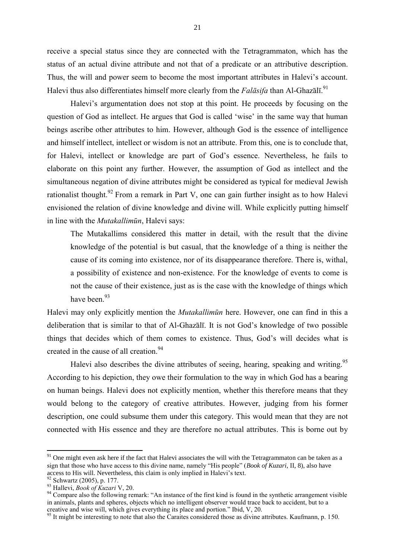receive a special status since they are connected with the Tetragrammaton, which has the status of an actual divine attribute and not that of a predicate or an attributive description. Thus, the will and power seem to become the most important attributes in Halevi's account. Halevi thus also differentiates himself more clearly from the *Falāsifa* than Al-Ghazālī.<sup>91</sup>

Halevi's argumentation does not stop at this point. He proceeds by focusing on the question of God as intellect. He argues that God is called 'wise' in the same way that human beings ascribe other attributes to him. However, although God is the essence of intelligence and himself intellect, intellect or wisdom is not an attribute. From this, one is to conclude that, for Halevi, intellect or knowledge are part of God's essence. Nevertheless, he fails to elaborate on this point any further. However, the assumption of God as intellect and the simultaneous negation of divine attributes might be considered as typical for medieval Jewish rationalist thought.<sup>92</sup> From a remark in Part V, one can gain further insight as to how Halevi envisioned the relation of divine knowledge and divine will. While explicitly putting himself in line with the *Mutakallimūn*, Halevi says:

The Mutakallims considered this matter in detail, with the result that the divine knowledge of the potential is but casual, that the knowledge of a thing is neither the cause of its coming into existence, nor of its disappearance therefore. There is, withal, a possibility of existence and non-existence. For the knowledge of events to come is not the cause of their existence, just as is the case with the knowledge of things which have been.<sup>93</sup>

Halevi may only explicitly mention the *Mutakallimūn* here. However, one can find in this a deliberation that is similar to that of Al-Ghazālī. It is not God's knowledge of two possible things that decides which of them comes to existence. Thus, God's will decides what is created in the cause of all creation.<sup>94</sup>

Halevi also describes the divine attributes of seeing, hearing, speaking and writing.<sup>95</sup> According to his depiction, they owe their formulation to the way in which God has a bearing on human beings. Halevi does not explicitly mention, whether this therefore means that they would belong to the category of creative attributes. However, judging from his former description, one could subsume them under this category. This would mean that they are not connected with His essence and they are therefore no actual attributes. This is borne out by

 $91$  One might even ask here if the fact that Halevi associates the will with the Tetragrammaton can be taken as a sign that those who have access to this divine name, namely "His people" (*Book of Kuzari*, II, 8), also have access to His will. Nevertheless, this claim is only implied in Halevi's text.

 $^{92}$  Schwartz (2005), p. 177.

<sup>93</sup> Hallevi, *Book of Kuzari* V, 20.

<sup>&</sup>lt;sup>94</sup> Compare also the following remark: "An instance of the first kind is found in the synthetic arrangement visible in animals, plants and spheres, objects which no intelligent observer would trace back to accident, but to a creative and wise will, which gives everything its place and portion." Ibid, V, 20.

<sup>&</sup>lt;sup>95</sup> It might be interesting to note that also the Caraites considered those as divine attributes. Kaufmann, p. 150.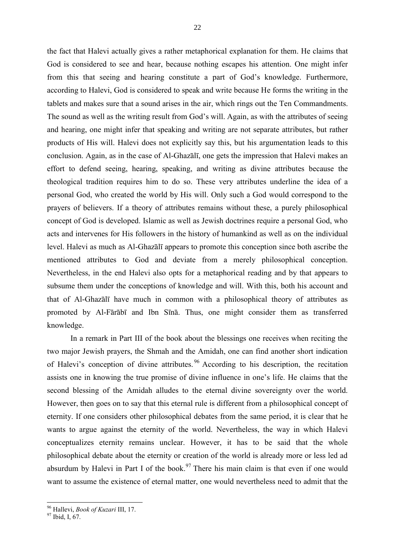the fact that Halevi actually gives a rather metaphorical explanation for them. He claims that God is considered to see and hear, because nothing escapes his attention. One might infer from this that seeing and hearing constitute a part of God's knowledge. Furthermore, according to Halevi, God is considered to speak and write because He forms the writing in the tablets and makes sure that a sound arises in the air, which rings out the Ten Commandments. The sound as well as the writing result from God's will. Again, as with the attributes of seeing and hearing, one might infer that speaking and writing are not separate attributes, but rather products of His will. Halevi does not explicitly say this, but his argumentation leads to this conclusion. Again, as in the case of Al-Ghazālī, one gets the impression that Halevi makes an effort to defend seeing, hearing, speaking, and writing as divine attributes because the theological tradition requires him to do so. These very attributes underline the idea of a personal God, who created the world by His will. Only such a God would correspond to the prayers of believers. If a theory of attributes remains without these, a purely philosophical concept of God is developed. Islamic as well as Jewish doctrines require a personal God, who acts and intervenes for His followers in the history of humankind as well as on the individual level. Halevi as much as Al-Ghazālī appears to promote this conception since both ascribe the mentioned attributes to God and deviate from a merely philosophical conception. Nevertheless, in the end Halevi also opts for a metaphorical reading and by that appears to subsume them under the conceptions of knowledge and will. With this, both his account and that of Al-Ghazālī have much in common with a philosophical theory of attributes as promoted by Al-Fārābī and Ibn Sīnā. Thus, one might consider them as transferred knowledge.

In a remark in Part III of the book about the blessings one receives when reciting the two major Jewish prayers, the Shmah and the Amidah, one can find another short indication of Halevi's conception of divine attributes. <sup>96</sup> According to his description, the recitation assists one in knowing the true promise of divine influence in one's life. He claims that the second blessing of the Amidah alludes to the eternal divine sovereignty over the world. However, then goes on to say that this eternal rule is different from a philosophical concept of eternity. If one considers other philosophical debates from the same period, it is clear that he wants to argue against the eternity of the world. Nevertheless, the way in which Halevi conceptualizes eternity remains unclear. However, it has to be said that the whole philosophical debate about the eternity or creation of the world is already more or less led ad absurdum by Halevi in Part I of the book.<sup>97</sup> There his main claim is that even if one would want to assume the existence of eternal matter, one would nevertheless need to admit that the

 $\overline{\phantom{a}}$ <sup>96</sup> Hallevi, *Book of Kuzari* III, 17.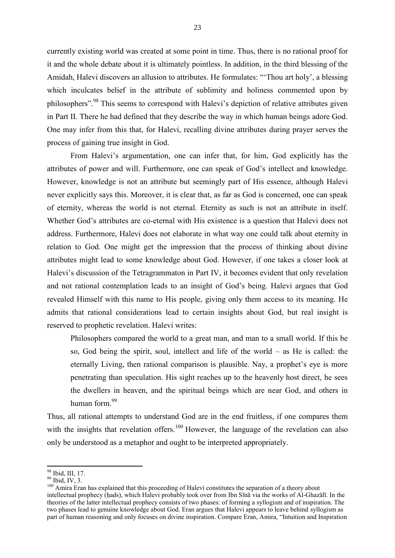currently existing world was created at some point in time. Thus, there is no rational proof for it and the whole debate about it is ultimately pointless. In addition, in the third blessing of the Amidah, Halevi discovers an allusion to attributes. He formulates: "'Thou art holy', a blessing which inculcates belief in the attribute of sublimity and holiness commented upon by philosophers".<sup>98</sup> This seems to correspond with Halevi's depiction of relative attributes given in Part II. There he had defined that they describe the way in which human beings adore God. One may infer from this that, for Halevi, recalling divine attributes during prayer serves the process of gaining true insight in God.

From Halevi's argumentation, one can infer that, for him, God explicitly has the attributes of power and will. Furthermore, one can speak of God's intellect and knowledge. However, knowledge is not an attribute but seemingly part of His essence, although Halevi never explicitly says this. Moreover, it is clear that, as far as God is concerned, one can speak of eternity, whereas the world is not eternal. Eternity as such is not an attribute in itself. Whether God's attributes are co-eternal with His existence is a question that Halevi does not address. Furthermore, Halevi does not elaborate in what way one could talk about eternity in relation to God. One might get the impression that the process of thinking about divine attributes might lead to some knowledge about God. However, if one takes a closer look at Halevi's discussion of the Tetragrammaton in Part IV, it becomes evident that only revelation and not rational contemplation leads to an insight of God's being. Halevi argues that God revealed Himself with this name to His people, giving only them access to its meaning. He admits that rational considerations lead to certain insights about God, but real insight is reserved to prophetic revelation. Halevi writes:

Philosophers compared the world to a great man, and man to a small world. If this be so, God being the spirit, soul, intellect and life of the world – as He is called: the eternally Living, then rational comparison is plausible. Nay, a prophet's eye is more penetrating than speculation. His sight reaches up to the heavenly host direct, he sees the dwellers in heaven, and the spiritual beings which are near God, and others in human form.<sup>99</sup>

Thus, all rational attempts to understand God are in the end fruitless, if one compares them with the insights that revelation offers.<sup>100</sup> However, the language of the revelation can also only be understood as a metaphor and ought to be interpreted appropriately.

 $\overline{a}$ 

 $_{.0}^{98}$  Ibid, III, 17.

 $99$  Ibid, IV, 3.

 $100$  Amira Eran has explained that this proceeding of Halevi constitutes the separation of a theory about intellectual prophecy (ḥads), which Halevi probably took over from Ibn Sīnā via the works of Al-Ghazālī. In the theories of the latter intellectual prophecy consists of two phases: of forming a syllogism and of inspiration. The two phases lead to genuine knowledge about God. Eran argues that Halevi appears to leave behind syllogism as part of human reasoning and only focuses on divine inspiration. Compare Eran, Amira, "Intuition and Inspiration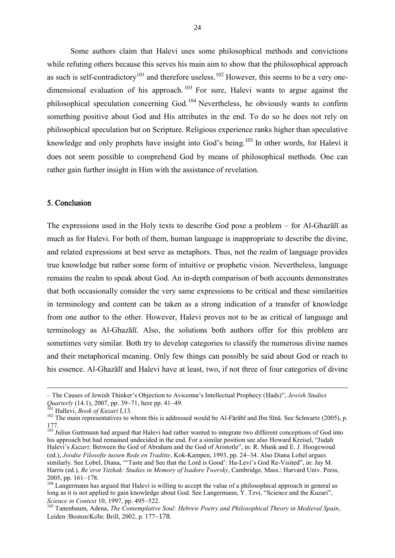Some authors claim that Halevi uses some philosophical methods and convictions while refuting others because this serves his main aim to show that the philosophical approach as such is self-contradictory<sup>101</sup> and therefore useless.<sup>102</sup> However, this seems to be a very onedimensional evaluation of his approach. <sup>103</sup> For sure, Halevi wants to argue against the philosophical speculation concerning God.<sup>104</sup> Nevertheless, he obviously wants to confirm something positive about God and His attributes in the end. To do so he does not rely on philosophical speculation but on Scripture. Religious experience ranks higher than speculative knowledge and only prophets have insight into God's being.<sup>105</sup> In other words, for Halevi it does not seem possible to comprehend God by means of philosophical methods. One can rather gain further insight in Him with the assistance of revelation.

## 5. Conclusion

The expressions used in the Holy texts to describe God pose a problem – for Al-Ghazālī as much as for Halevi. For both of them, human language is inappropriate to describe the divine, and related expressions at best serve as metaphors. Thus, not the realm of language provides true knowledge but rather some form of intuitive or prophetic vision. Nevertheless, language remains the realm to speak about God. An in-depth comparison of both accounts demonstrates that both occasionally consider the very same expressions to be critical and these similarities in terminology and content can be taken as a strong indication of a transfer of knowledge from one author to the other. However, Halevi proves not to be as critical of language and terminology as Al-Ghazālī. Also, the solutions both authors offer for this problem are sometimes very similar. Both try to develop categories to classify the numerous divine names and their metaphorical meaning. Only few things can possibly be said about God or reach to his essence. Al-Ghazālī and Halevi have at least, two, if not three of four categories of divine

<sup>–</sup> The Causes of Jewish Thinker's Objection to Avicenna's Intellectual Prophecy (Ḥads)", *Jewish Studies Quarterly* (14.1), 2007, pp. 39–71, here pp. 41–49.

<sup>101</sup> Hallevi, *Book of Kuzari* I,13.

<sup>&</sup>lt;sup>102</sup> The main representatives to whom this is addressed would be Al-Fārābī and Ibn Sīnā. See Schwartz (2005), p. 177.

<sup>&</sup>lt;sup>103</sup> Julius Guttmann had argued that Halevi had rather wanted to integrate two different conceptions of God into his approach but had remained undecided in the end. For a similar position see also Howard Kreisel, "Judah Halevi's *Kuzari*: Between the God of Abraham and the God of Aristotle", in: R. Munk and E. J. Hoogewoud (ed.), *Joodse Filosofie tussen Rede en Traditie*, Kok-Kampen, 1993, pp. 24–34. Also Diana Lobel argues similarly. See Lobel, Diana, "Taste and See that the Lord is Good': Ha-Levi's God Re-Visited", in: Jay M. Harris (ed.), *Be'erot Yitzhak: Studies in Memory of Isadore Twersky*, Cambridge, Mass.: Harvard Univ. Press, 2005, pp. 161–178.

<sup>&</sup>lt;sup>104</sup> Langermann has argued that Halevi is willing to accept the value of a philosophical approach in general as long as it is not applied to gain knowledge about God. See Langermann, Y. Tzvi, "Science and the Kuzari", *Science in Context* 10, 1997, pp. 495–522.

<sup>105</sup> Tanenbaum, Adena, *The Contemplative Soul: Hebrew Poetry and Philosophical Theory in Medieval Spain*, Leiden /Boston/Köln: Brill, 2002, p. 177–178.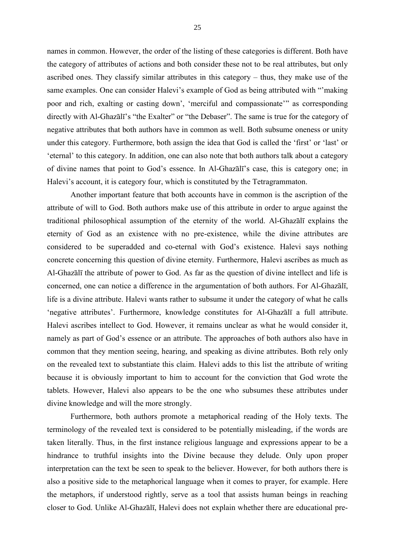names in common. However, the order of the listing of these categories is different. Both have the category of attributes of actions and both consider these not to be real attributes, but only ascribed ones. They classify similar attributes in this category – thus, they make use of the same examples. One can consider Halevi's example of God as being attributed with "'making poor and rich, exalting or casting down', 'merciful and compassionate'" as corresponding directly with Al-Ghazālī's "the Exalter" or "the Debaser". The same is true for the category of negative attributes that both authors have in common as well. Both subsume oneness or unity under this category. Furthermore, both assign the idea that God is called the 'first' or 'last' or 'eternal' to this category. In addition, one can also note that both authors talk about a category of divine names that point to God's essence. In Al-Ghazālī's case, this is category one; in Halevi's account, it is category four, which is constituted by the Tetragrammaton.

Another important feature that both accounts have in common is the ascription of the attribute of will to God. Both authors make use of this attribute in order to argue against the traditional philosophical assumption of the eternity of the world. Al-Ghazālī explains the eternity of God as an existence with no pre-existence, while the divine attributes are considered to be superadded and co-eternal with God's existence. Halevi says nothing concrete concerning this question of divine eternity. Furthermore, Halevi ascribes as much as Al-Ghazālī the attribute of power to God. As far as the question of divine intellect and life is concerned, one can notice a difference in the argumentation of both authors. For Al-Ghazālī, life is a divine attribute. Halevi wants rather to subsume it under the category of what he calls 'negative attributes'. Furthermore, knowledge constitutes for Al-Ghazālī a full attribute. Halevi ascribes intellect to God. However, it remains unclear as what he would consider it, namely as part of God's essence or an attribute. The approaches of both authors also have in common that they mention seeing, hearing, and speaking as divine attributes. Both rely only on the revealed text to substantiate this claim. Halevi adds to this list the attribute of writing because it is obviously important to him to account for the conviction that God wrote the tablets. However, Halevi also appears to be the one who subsumes these attributes under divine knowledge and will the more strongly.

Furthermore, both authors promote a metaphorical reading of the Holy texts. The terminology of the revealed text is considered to be potentially misleading, if the words are taken literally. Thus, in the first instance religious language and expressions appear to be a hindrance to truthful insights into the Divine because they delude. Only upon proper interpretation can the text be seen to speak to the believer. However, for both authors there is also a positive side to the metaphorical language when it comes to prayer, for example. Here the metaphors, if understood rightly, serve as a tool that assists human beings in reaching closer to God. Unlike Al-Ghazālī, Halevi does not explain whether there are educational pre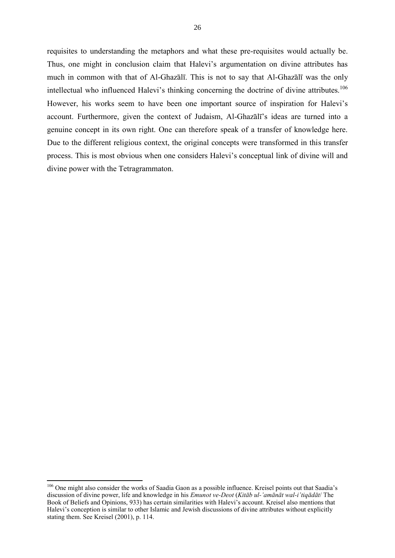requisites to understanding the metaphors and what these pre-requisites would actually be. Thus, one might in conclusion claim that Halevi's argumentation on divine attributes has much in common with that of Al-Ghazālī. This is not to say that Al-Ghazālī was the only intellectual who influenced Halevi's thinking concerning the doctrine of divine attributes.<sup>106</sup> However, his works seem to have been one important source of inspiration for Halevi's account. Furthermore, given the context of Judaism, Al-Ghazālī's ideas are turned into a genuine concept in its own right. One can therefore speak of a transfer of knowledge here. Due to the different religious context, the original concepts were transformed in this transfer process. This is most obvious when one considers Halevi's conceptual link of divine will and divine power with the Tetragrammaton.

 $\overline{a}$ 

<sup>&</sup>lt;sup>106</sup> One might also consider the works of Saadia Gaon as a possible influence. Kreisel points out that Saadia's discussion of divine power, life and knowledge in his *Emunot ve-Deot* (*Kitāb ul-'amānāt wal-i'tiqādāt*/ The Book of Beliefs and Opinions, 933) has certain similarities with Halevi's account. Kreisel also mentions that Halevi's conception is similar to other Islamic and Jewish discussions of divine attributes without explicitly stating them. See Kreisel (2001), p. 114.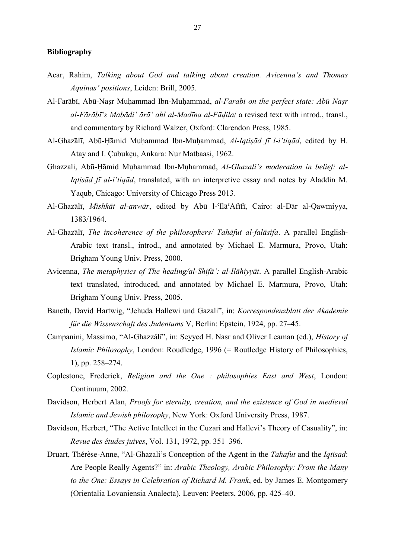#### **Bibliography**

- Acar, Rahim, *Talking about God and talking about creation. Avicenna's and Thomas Aquinas' positions*, Leiden: Brill, 2005.
- Al-Farābī, Abū-Naṣr Muḥammad Ibn-Muḥammad, *al-Farabi on the perfect state: Abū Naṣr al-Fārābī's Mabādi' ārā' ahl al-Madīna al-Fāḍila*/ a revised text with introd., transl., and commentary by Richard Walzer, Oxford: Clarendon Press, 1985.
- Al-Ghazālī, Abū-Ḥāmid Muḥammad Ibn-Muḥammad, *Al-Iqtiṣād fī l-i'tiqād*, edited by H. Atay and I. Çubukçu, Ankara: Nur Matbaasi, 1962.
- Ghazzali, Abū-Ḥāmid Mụhammad Ibn-Mụhammad, *Al-Ghazali's moderation in belief: al-Iqtịsād fī al-i'tiqād*, translated, with an interpretive essay and notes by Aladdin M. Yaqub, Chicago: University of Chicago Press 2013.
- Al-Ghazālī, *Mishkāt al-anwār*, edited by Abū l-ʿIlāʿAfīfī, Cairo: al-Dār al-Qawmiyya, 1383/1964.
- Al-Ghazālī, *The incoherence of the philosophers/ Tahāfut al-falāsifa*. A parallel English-Arabic text transl., introd., and annotated by Michael E. Marmura, Provo, Utah: Brigham Young Univ. Press, 2000.
- Avicenna, *The metaphysics of The healing/al-Shifā': al-Ilāhiyyāt*. A parallel English-Arabic text translated, introduced, and annotated by Michael E. Marmura, Provo, Utah: Brigham Young Univ. Press, 2005.
- Baneth, David Hartwig, "Jehuda Hallewi und Gazali", in: *Korrespondenzblatt der Akademie für die Wissenschaft des Judentums* V, Berlin: Epstein, 1924, pp. 27–45.
- Campanini, Massimo, "Al-Ghazzâlî", in: Seyyed H. Nasr and Oliver Leaman (ed.), *History of Islamic Philosophy*, London: Roudledge, 1996 (= Routledge History of Philosophies, 1), pp. 258–274.
- Coplestone, Frederick, *Religion and the One : philosophies East and West*, London: Continuum, 2002.
- Davidson, Herbert Alan, *Proofs for eternity, creation, and the existence of God in medieval Islamic and Jewish philosophy*, New York: Oxford University Press, 1987.
- Davidson, Herbert, "The Active Intellect in the Cuzari and Hallevi's Theory of Casuality", in: *Revue des études juives*, Vol. 131, 1972, pp. 351–396.
- Druart, Thérèse-Anne, "Al-Ghazali's Conception of the Agent in the *Tahafut* and the *Iqtisad*: Are People Really Agents?" in: *Arabic Theology, Arabic Philosophy: From the Many to the One: Essays in Celebration of Richard M. Frank*, ed. by James E. Montgomery (Orientalia Lovaniensia Analecta), Leuven: Peeters, 2006, pp. 425–40.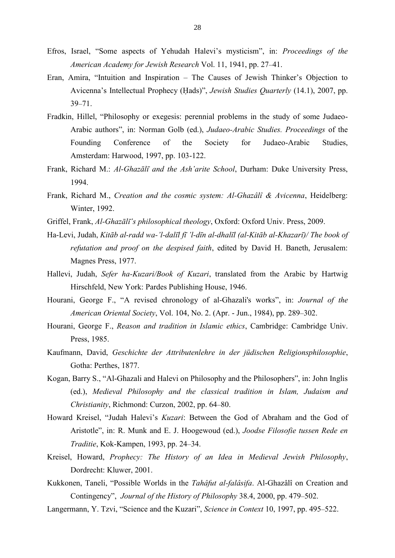- Efros, Israel, "Some aspects of Yehudah Halevi's mysticism", in: *Proceedings of the American Academy for Jewish Research* Vol. 11, 1941, pp. 27–41.
- Eran, Amira, "Intuition and Inspiration The Causes of Jewish Thinker's Objection to Avicenna's Intellectual Prophecy (Ḥads)", *Jewish Studies Quarterly* (14.1), 2007, pp. 39–71.
- Fradkin, Hillel, "Philosophy or exegesis: perennial problems in the study of some Judaeo-Arabic authors", in: Norman Golb (ed.), *Judaeo-Arabic Studies. Proceedings* of the Founding Conference of the Society for Judaeo-Arabic Studies, Amsterdam: Harwood, 1997, pp. 103-122.
- Frank, Richard M.: *Al-Ghazālī and the Ash'arite School*, Durham: Duke University Press, 1994.
- Frank, Richard M., *Creation and the cosmic system: Al-Ghazâlî & Avicenna*, Heidelberg: Winter, 1992.
- Griffel, Frank, *Al-Ghazālī's philosophical theology*, Oxford: Oxford Univ. Press, 2009.
- Ha-Levi, Judah, *Kitāb al-radd wa-'l-dalīl fī 'l-dīn al-dhalīl (al-Kitāb al-Khazarī)/ The book of refutation and proof on the despised faith*, edited by David H. Baneth, Jerusalem: Magnes Press, 1977.
- Hallevi, Judah, *Sefer ha-Kuzari/Book of Kuzari*, translated from the Arabic by Hartwig Hirschfeld, New York: Pardes Publishing House, 1946.
- Hourani, George F., "A revised chronology of al-Ghazali's works", in: *Journal of the American Oriental Society*, Vol. 104, No. 2. (Apr. - Jun., 1984), pp. 289–302.
- Hourani, George F., *Reason and tradition in Islamic ethics*, Cambridge: Cambridge Univ. Press, 1985.
- Kaufmann, David, *Geschichte der Attributenlehre in der jüdischen Religionsphilosophie*, Gotha: Perthes, 1877.
- Kogan, Barry S., "Al-Ghazali and Halevi on Philosophy and the Philosophers", in: John Inglis (ed.), *Medieval Philosophy and the classical tradition in Islam, Judaism and Christianity*, Richmond: Curzon, 2002, pp. 64–80.
- Howard Kreisel, "Judah Halevi's *Kuzari*: Between the God of Abraham and the God of Aristotle", in: R. Munk and E. J. Hoogewoud (ed.), *Joodse Filosofie tussen Rede en Traditie*, Kok-Kampen, 1993, pp. 24–34.
- Kreisel, Howard, *Prophecy: The History of an Idea in Medieval Jewish Philosophy*, Dordrecht: Kluwer, 2001.
- Kukkonen, Taneli, "Possible Worlds in the *Tahâfut al-falâsifa*. Al-Ghazâlî on Creation and Contingency", *Journal of the History of Philosophy* 38.4, 2000, pp. 479–502.
- Langermann, Y. Tzvi, "Science and the Kuzari", *Science in Context* 10, 1997, pp. 495–522.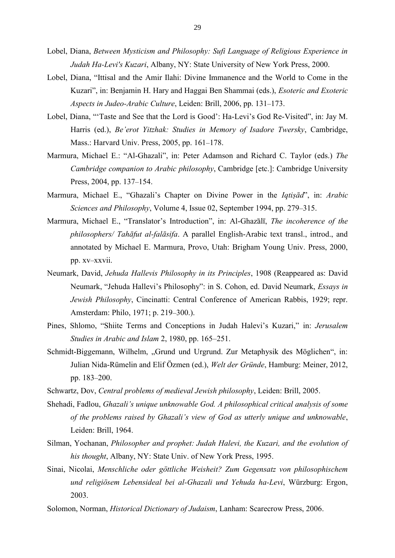- Lobel, Diana, *Between Mysticism and Philosophy: Sufi Language of Religious Experience in Judah Ha-Levi's Kuzari*, Albany, NY: State University of New York Press, 2000.
- Lobel, Diana, "Ittisal and the Amir Ilahi: Divine Immanence and the World to Come in the Kuzari", in: Benjamin H. Hary and Haggai Ben Shammai (eds.), *Esoteric and Exoteric Aspects in Judeo-Arabic Culture*, Leiden: Brill, 2006, pp. 131–173.
- Lobel, Diana, "'Taste and See that the Lord is Good': Ha-Levi's God Re-Visited", in: Jay M. Harris (ed.), *Be'erot Yitzhak: Studies in Memory of Isadore Twersky*, Cambridge, Mass.: Harvard Univ. Press, 2005, pp. 161–178.
- Marmura, Michael E.: "Al-Ghazali", in: Peter Adamson and Richard C. Taylor (eds.) *The Cambridge companion to Arabic philosophy*, Cambridge [etc.]: Cambridge University Press, 2004, pp. 137–154.
- Marmura, Michael E., "Ghazali's Chapter on Divine Power in the *Iqtiṣād*", in: *Arabic Sciences and Philosophy*, Volume 4, Issue 02, September 1994, pp. 279–315.
- Marmura, Michael E., "Translator's Introduction", in: Al-Ghazālī, *The incoherence of the philosophers/ Tahāfut al-falāsifa*. A parallel English-Arabic text transl., introd., and annotated by Michael E. Marmura, Provo, Utah: Brigham Young Univ. Press, 2000, pp. xv–xxvii.
- Neumark, David, *Jehuda Hallevis Philosophy in its Principles*, 1908 (Reappeared as: David Neumark, "Jehuda Hallevi's Philosophy": in S. Cohon, ed. David Neumark, *Essays in Jewish Philosophy*, Cincinatti: Central Conference of American Rabbis, 1929; repr. Amsterdam: Philo, 1971; p. 219–300.).
- Pines, Shlomo, "Shiite Terms and Conceptions in Judah Halevi's Kuzari," in: *Jerusalem Studies in Arabic and Islam* 2, 1980, pp. 165–251.
- Schmidt-Biggemann, Wilhelm, "Grund und Urgrund. Zur Metaphysik des Möglichen", in: Julian Nida-Rümelin and Elif Özmen (ed.), *Welt der Gründe*, Hamburg: Meiner, 2012, pp. 183–200.
- Schwartz, Dov, *Central problems of medieval Jewish philosophy*, Leiden: Brill, 2005.
- Shehadi, Fadlou, *Ghazali's unique unknowable God. A philosophical critical analysis of some of the problems raised by Ghazali's view of God as utterly unique and unknowable*, Leiden: Brill, 1964.
- Silman, Yochanan, *Philosopher and prophet: Judah Halevi, the Kuzari, and the evolution of his thought*, Albany, NY: State Univ. of New York Press, 1995.
- Sinai, Nicolai, *Menschliche oder göttliche Weisheit? Zum Gegensatz von philosophischem und religiösem Lebensideal bei al-Ghazali und Yehuda ha-Levi*, Würzburg: Ergon, 2003.
- Solomon, Norman, *Historical Dictionary of Judaism*, Lanham: Scarecrow Press, 2006.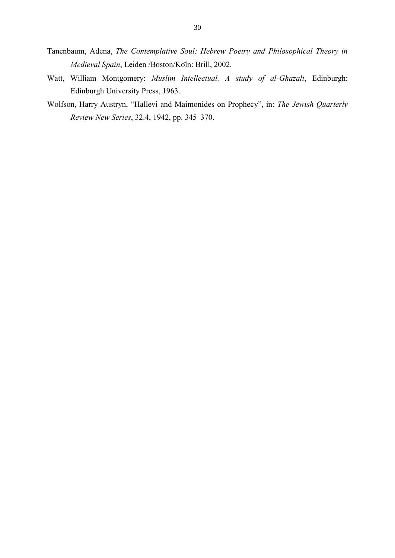- Tanenbaum, Adena, *The Contemplative Soul: Hebrew Poetry and Philosophical Theory in Medieval Spain*, Leiden /Boston/Köln: Brill, 2002.
- Watt, William Montgomery: *Muslim Intellectual. A study of al-Ghazali*, Edinburgh: Edinburgh University Press, 1963.
- Wolfson, Harry Austryn, "Hallevi and Maimonides on Prophecy", in: *The Jewish Quarterly Review New Series*, 32.4, 1942, pp. 345–370.